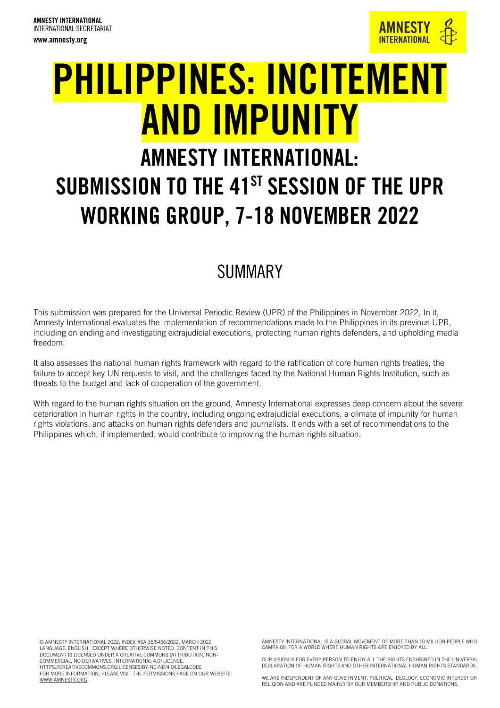

# PHILIPPINES: INCITEMENT AND IMPUNITY AMNESTY INTERNATIONAL:

## SUBMISSION TO THE 41<sup>ST</sup> SESSION OF THE UPR WORKING GROUP, 7-18 NOVEMBER 2022

## SUMMARY

This submission was prepared for the Universal Periodic Review (UPR) of the Philippines in November 2022. In it, Amnesty International evaluates the implementation of recommendations made to the Philippines in its previous UPR, including on ending and investigating extrajudicial executions, protecting human rights defenders, and upholding media freedom.

It also assesses the national human rights framework with regard to the ratification of core human rights treaties, the failure to accept key UN requests to visit, and the challenges faced by the National Human Rights Institution, such as threats to the budget and lack of cooperation of the government.

With regard to the human rights situation on the ground, Amnesty International expresses deep concern about the severe deterioration in human rights in the country, including ongoing extrajudicial executions, a climate of impunity for human rights violations, and attacks on human rights defenders and journalists. It ends with a set of recommendations to the Philippines which, if implemented, would contribute to improving the human rights situation.

© AMNESTY INTERNATIONAL 2022; INDEX ASA 35/5456/2022, MARCH 2022 LANGUAGE: ENGLISH. EXCEPT WHERE OTHERWISE NOTED, CONTENT IN THIS DOCUMENT IS LICENSED UNDER A CREATIVE COMMONS (ATTRIBUTION, NON-COMMERCIAL, NO DERIVATIVES, INTERNATIONAL 4.0) LICENCE. HTTPS://CREATIVECOMMONS.ORG/LICENSES/BY-NC-ND/4.0/LEGALCODE FOR MORE INFORMATION, PLEASE VISIT THE PERMISSIONS PAGE ON OUR WEBSITE: [WWW.AMNESTY.ORG](http://www.amnesty.org/)

AMNESTY INTERNATIONAL IS A GLOBAL MOVEMENT OF MORE THAN 10 MILLION PEOPLE WHO CAMPAIGN FOR A WORLD WHERE HUMAN RIGHTS ARE ENJOYED BY ALL.

OUR VISION IS FOR EVERY PERSON TO ENJOY ALL THE RIGHTS ENSHRINED IN THE UNIVERSAL DECLARATION OF HUMAN RIGHTS AND OTHER INTERNATIONAL HUMAN RIGHTS STANDARDS.

WE ARE INDEPENDENT OF ANY GOVERNMENT, POLITICAL IDEOLOGY, ECONOMIC INTEREST OR RELIGION AND ARE FUNDED MAINLY BY OUR MEMBERSHIP AND PUBLIC DONATIONS.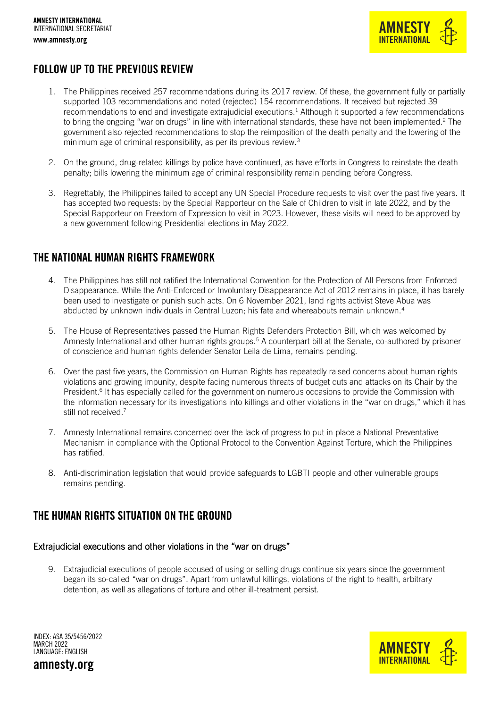

### FOLLOW UP TO THE PREVIOUS REVIEW

- 1. The Philippines received 257 recommendations during its 2017 review. Of these, the government fully or partially supported 103 recommendations and noted (rejected) 154 recommendations. It received but rejected 39 recommendations to end and investigate extrajudicial executions. <sup>1</sup> Although it supported a few recommendations to bring the ongoing "war on drugs" in line with international standards, these have not been implemented.<sup>2</sup> The government also rejected recommendations to stop the reimposition of the death penalty and the lowering of the minimum age of criminal responsibility, as per its previous review.<sup>3</sup>
- 2. On the ground, drug-related killings by police have continued, as have efforts in Congress to reinstate the death penalty; bills lowering the minimum age of criminal responsibility remain pending before Congress.
- 3. Regrettably, the Philippines failed to accept any UN Special Procedure requests to visit over the past five years. It has accepted two requests: by the Special Rapporteur on the Sale of Children to visit in late 2022, and by the Special Rapporteur on Freedom of Expression to visit in 2023. However, these visits will need to be approved by a new government following Presidential elections in May 2022.

### THE NATIONAL HUMAN RIGHTS FRAMEWORK

- 4. The Philippines has still not ratified the International Convention for the Protection of All Persons from Enforced Disappearance. While the Anti-Enforced or Involuntary Disappearance Act of 2012 remains in place, it has barely been used to investigate or punish such acts. On 6 November 2021, land rights activist Steve Abua was abducted by unknown individuals in Central Luzon; his fate and whereabouts remain unknown.<sup>4</sup>
- 5. The House of Representatives passed the Human Rights Defenders Protection Bill, which was welcomed by Amnesty International and other human rights groups.<sup>5</sup> A counterpart bill at the Senate, co-authored by prisoner of conscience and human rights defender Senator Leila de Lima, remains pending.
- 6. Over the past five years, the Commission on Human Rights has repeatedly raised concerns about human rights violations and growing impunity, despite facing numerous threats of budget cuts and attacks on its Chair by the President.<sup>6</sup> It has especially called for the government on numerous occasions to provide the Commission with the information necessary for its investigations into killings and other violations in the "war on drugs," which it has still not received.<sup>7</sup>
- 7. Amnesty International remains concerned over the lack of progress to put in place a National Preventative Mechanism in compliance with the Optional Protocol to the Convention Against Torture, which the Philippines has ratified.
- 8. Anti-discrimination legislation that would provide safeguards to LGBTI people and other vulnerable groups remains pending.

### THE HUMAN RIGHTS SITUATION ON THE GROUND

#### Extrajudicial executions and other violations in the "war on drugs"

9. Extrajudicial executions of people accused of using or selling drugs continue six years since the government began its so-called "war on drugs". Apart from unlawful killings, violations of the right to health, arbitrary detention, as well as allegations of torture and other ill-treatment persist.



INDEX: ASA 35/5456/2022 MARCH 2022 LANGUAGE: ENGLISH

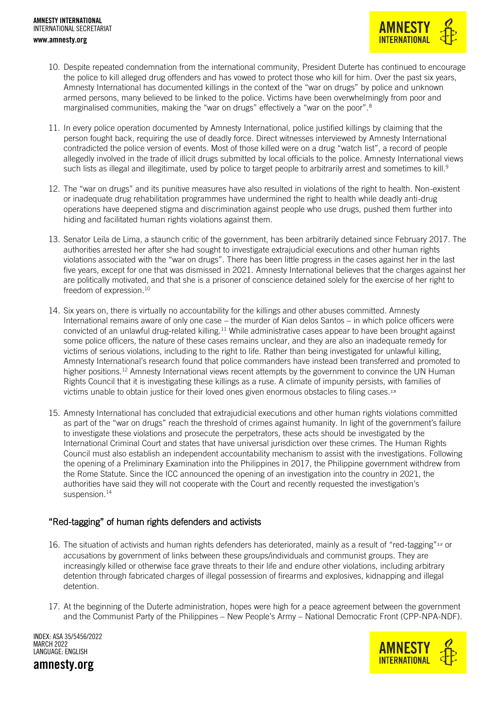

- 10. Despite repeated condemnation from the international community, President Duterte has continued to encourage the police to kill alleged drug offenders and has vowed to protect those who kill for him. Over the past six years, Amnesty International has documented killings in the context of the "war on drugs" by police and unknown armed persons, many believed to be linked to the police. Victims have been overwhelmingly from poor and marginalised communities, making the "war on drugs" effectively a "war on the poor".<sup>8</sup>
- 11. In every police operation documented by Amnesty International, police justified killings by claiming that the person fought back, requiring the use of deadly force. Direct witnesses interviewed by Amnesty International contradicted the police version of events. Most of those killed were on a drug "watch list", a record of people allegedly involved in the trade of illicit drugs submitted by local officials to the police. Amnesty International views such lists as illegal and illegitimate, used by police to target people to arbitrarily arrest and sometimes to kill.<sup>9</sup>
- 12. The "war on drugs" and its punitive measures have also resulted in violations of the right to health. Non-existent or inadequate drug rehabilitation programmes have undermined the right to health while deadly anti-drug operations have deepened stigma and discrimination against people who use drugs, pushed them further into hiding and facilitated human rights violations against them.
- 13. Senator Leila de Lima, a staunch critic of the government, has been arbitrarily detained since February 2017. The authorities arrested her after she had sought to investigate extrajudicial executions and other human rights violations associated with the "war on drugs". There has been little progress in the cases against her in the last five years, except for one that was dismissed in 2021. Amnesty International believes that the charges against her are politically motivated, and that she is a prisoner of conscience detained solely for the exercise of her right to freedom of expression.<sup>10</sup>
- 14. Six years on, there is virtually no accountability for the killings and other abuses committed. Amnesty International remains aware of only one case – the murder of Kian delos Santos – in which police officers were convicted of an unlawful drug-related killing.<sup>11</sup> While administrative cases appear to have been brought against some police officers, the nature of these cases remains unclear, and they are also an inadequate remedy for victims of serious violations, including to the right to life. Rather than being investigated for unlawful killing, Amnesty International's research found that police commanders have instead been transferred and promoted to higher positions.<sup>12</sup> Amnesty International views recent attempts by the government to convince the UN Human Rights Council that it is investigating these killings as a ruse. A climate of impunity persists, with families of victims unable to obtain justice for their loved ones given enormous obstacles to filing cases.<sup>13</sup>
- 15. Amnesty International has concluded that extrajudicial executions and other human rights violations committed as part of the "war on drugs" reach the threshold of crimes against humanity. In light of the government's failure to investigate these violations and prosecute the perpetrators, these acts should be investigated by the International Criminal Court and states that have universal jurisdiction over these crimes. The Human Rights Council must also establish an independent accountability mechanism to assist with the investigations. Following the opening of a Preliminary Examination into the Philippines in 2017, the Philippine government withdrew from the Rome Statute. Since the ICC announced the opening of an investigation into the country in 2021, the authorities have said they will not cooperate with the Court and recently requested the investigation's suspension.<sup>14</sup>

#### "Red-tagging" of human rights defenders and activists

- 16. The situation of activists and human rights defenders has deteriorated, mainly as a result of "red-tagging"<sup>15</sup> or accusations by government of links between these groups/individuals and communist groups. They are increasingly killed or otherwise face grave threats to their life and endure other violations, including arbitrary detention through fabricated charges of illegal possession of firearms and explosives, kidnapping and illegal detention.
- 17. At the beginning of the Duterte administration, hopes were high for a peace agreement between the government and the Communist Party of the Philippines – New People's Army – National Democratic Front (CPP-NPA-NDF).

INDEX: ASA 35/5456/2022 MARCH 2022 LANGUAGE: ENGLISH

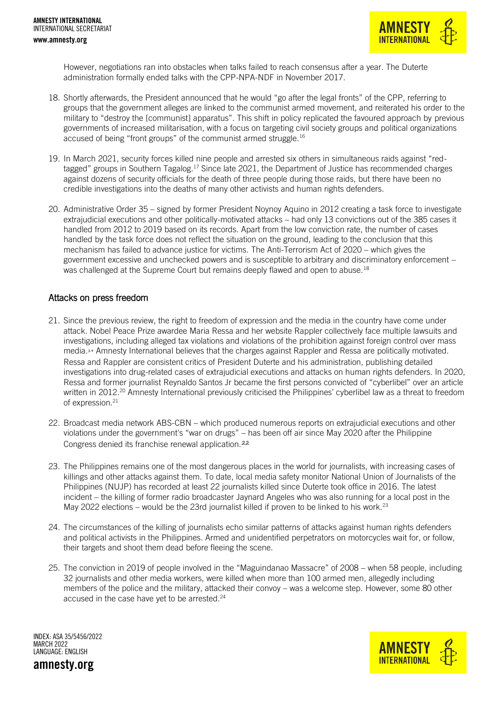

However, negotiations ran into obstacles when talks failed to reach consensus after a year. The Duterte administration formally ended talks with the CPP-NPA-NDF in November 2017.

- 18. Shortly afterwards, the President announced that he would "go after the legal fronts" of the CPP, referring to groups that the government alleges are linked to the communist armed movement, and reiterated his order to the military to "destroy the [communist] apparatus". This shift in policy replicated the favoured approach by previous governments of increased militarisation, with a focus on targeting civil society groups and political organizations accused of being "front groups" of the communist armed struggle.<sup>16</sup>
- 19. In March 2021, security forces killed nine people and arrested six others in simultaneous raids against "redtagged" groups in Southern Tagalog.<sup>17</sup> Since late 2021, the Department of Justice has recommended charges against dozens of security officials for the death of three people during those raids, but there have been no credible investigations into the deaths of many other activists and human rights defenders.
- 20. Administrative Order 35 signed by former President Noynoy Aquino in 2012 creating a task force to investigate extrajudicial executions and other politically-motivated attacks – had only 13 convictions out of the 385 cases it handled from 2012 to 2019 based on its records. Apart from the low conviction rate, the number of cases handled by the task force does not reflect the situation on the ground, leading to the conclusion that this mechanism has failed to advance justice for victims. The Anti-Terrorism Act of 2020 – which gives the government excessive and unchecked powers and is susceptible to arbitrary and discriminatory enforcement – was challenged at the Supreme Court but remains deeply flawed and open to abuse.<sup>18</sup>

#### Attacks on press freedom

- 21. Since the previous review, the right to freedom of expression and the media in the country have come under attack. Nobel Peace Prize awardee Maria Ressa and her website Rappler collectively face multiple lawsuits and investigations, including alleged tax violations and violations of the prohibition against foreign control over mass media.<sup>19</sup> Amnesty International believes that the charges against Rappler and Ressa are politically motivated. Ressa and Rappler are consistent critics of President Duterte and his administration, publishing detailed investigations into drug-related cases of extrajudicial executions and attacks on human rights defenders. In 2020, Ressa and former journalist Reynaldo Santos Jr became the first persons convicted of "cyberlibel" over an article written in 2012.<sup>20</sup> Amnesty International previously criticised the Philippines' cyberlibel law as a threat to freedom of expression.<sup>21</sup>
- 22. Broadcast media network ABS-CBN which produced numerous reports on extrajudicial executions and other violations under the government's "war on drugs" – has been off air since May 2020 after the Philippine Congress denied its franchise renewal application.<sup>22</sup>
- 23. The Philippines remains one of the most dangerous places in the world for journalists, with increasing cases of killings and other attacks against them. To date, local media safety monitor National Union of Journalists of the Philippines (NUJP) has recorded at least 22 journalists killed since Duterte took office in 2016. The latest incident – the killing of former radio broadcaster Jaynard Angeles who was also running for a local post in the May 2022 elections – would be the 23rd journalist killed if proven to be linked to his work.<sup>23</sup>
- 24. The circumstances of the killing of journalists echo similar patterns of attacks against human rights defenders and political activists in the Philippines. Armed and unidentified perpetrators on motorcycles wait for, or follow, their targets and shoot them dead before fleeing the scene.
- 25. The conviction in 2019 of people involved in the "Maguindanao Massacre" of 2008 when 58 people, including 32 journalists and other media workers, were killed when more than 100 armed men, allegedly including members of the police and the military, attacked their convoy – was a welcome step. However, some 80 other accused in the case have yet to be arrested.<sup>24</sup>

INDEX: ASA 35/5456/2022 MARCH 2022 LANGUAGE: ENGLISH

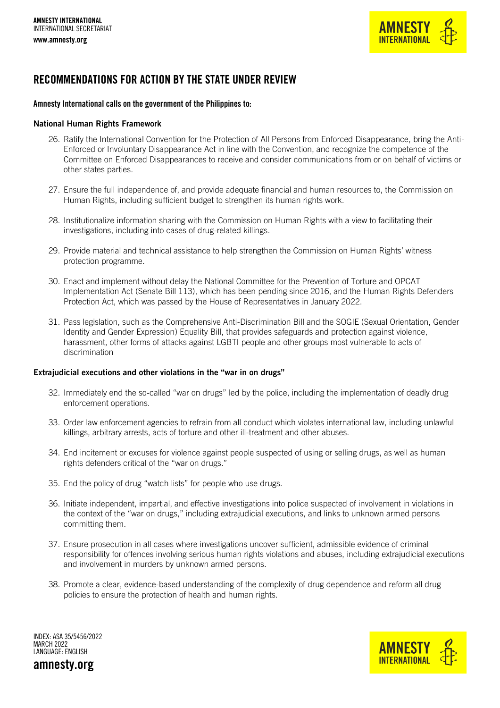

### RECOMMENDATIONS FOR ACTION BY THE STATE UNDER REVIEW

#### Amnesty International calls on the government of the Philippines to:

#### National Human Rights Framework

- 26. Ratify the International Convention for the Protection of All Persons from Enforced Disappearance, bring the Anti-Enforced or Involuntary Disappearance Act in line with the Convention, and recognize the competence of the Committee on Enforced Disappearances to receive and consider communications from or on behalf of victims or other states parties.
- 27. Ensure the full independence of, and provide adequate financial and human resources to, the Commission on Human Rights, including sufficient budget to strengthen its human rights work.
- 28. Institutionalize information sharing with the Commission on Human Rights with a view to facilitating their investigations, including into cases of drug-related killings.
- 29. Provide material and technical assistance to help strengthen the Commission on Human Rights' witness protection programme.
- 30. Enact and implement without delay the National Committee for the Prevention of Torture and OPCAT Implementation Act (Senate Bill 113), which has been pending since 2016, and the Human Rights Defenders Protection Act, which was passed by the House of Representatives in January 2022.
- 31. Pass legislation, such as the Comprehensive Anti-Discrimination Bill and the SOGIE (Sexual Orientation, Gender Identity and Gender Expression) Equality Bill, that provides safeguards and protection against violence, harassment, other forms of attacks against LGBTI people and other groups most vulnerable to acts of discrimination

#### Extrajudicial executions and other violations in the "war in on drugs"

- 32. Immediately end the so-called "war on drugs" led by the police, including the implementation of deadly drug enforcement operations.
- 33. Order law enforcement agencies to refrain from all conduct which violates international law, including unlawful killings, arbitrary arrests, acts of torture and other ill-treatment and other abuses.
- 34. End incitement or excuses for violence against people suspected of using or selling drugs, as well as human rights defenders critical of the "war on drugs."
- 35. End the policy of drug "watch lists" for people who use drugs.
- 36. Initiate independent, impartial, and effective investigations into police suspected of involvement in violations in the context of the "war on drugs," including extrajudicial executions, and links to unknown armed persons committing them.
- 37. Ensure prosecution in all cases where investigations uncover sufficient, admissible evidence of criminal responsibility for offences involving serious human rights violations and abuses, including extrajudicial executions and involvement in murders by unknown armed persons.
- 38. Promote a clear, evidence-based understanding of the complexity of drug dependence and reform all drug policies to ensure the protection of health and human rights.

INDEX: ASA 35/5456/2022 MARCH 2022 LANGUAGE: ENGLISH amnesty.org

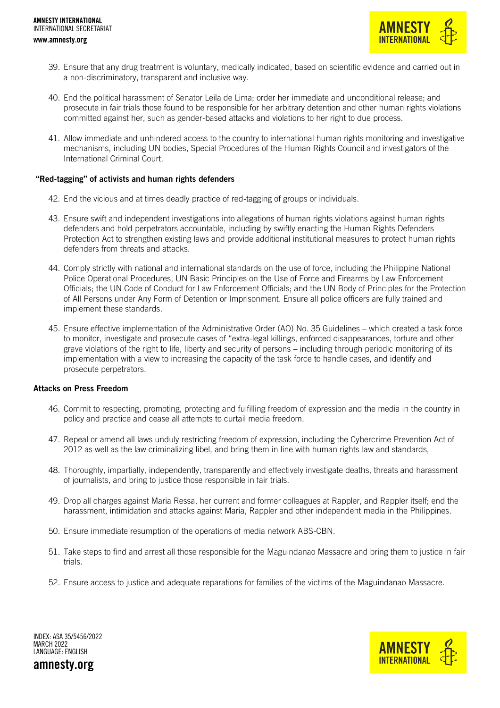

- 39. Ensure that any drug treatment is voluntary, medically indicated, based on scientific evidence and carried out in a non-discriminatory, transparent and inclusive way.
- 40. End the political harassment of Senator Leila de Lima; order her immediate and unconditional release; and prosecute in fair trials those found to be responsible for her arbitrary detention and other human rights violations committed against her, such as gender-based attacks and violations to her right to due process.
- 41. Allow immediate and unhindered access to the country to international human rights monitoring and investigative mechanisms, including UN bodies, Special Procedures of the Human Rights Council and investigators of the International Criminal Court.

#### "Red-tagging" of activists and human rights defenders

- 42. End the vicious and at times deadly practice of red-tagging of groups or individuals.
- 43. Ensure swift and independent investigations into allegations of human rights violations against human rights defenders and hold perpetrators accountable, including by swiftly enacting the Human Rights Defenders Protection Act to strengthen existing laws and provide additional institutional measures to protect human rights defenders from threats and attacks.
- 44. Comply strictly with national and international standards on the use of force, including the Philippine National Police Operational Procedures, UN Basic Principles on the Use of Force and Firearms by Law Enforcement Officials; the UN Code of Conduct for Law Enforcement Officials; and the UN Body of Principles for the Protection of All Persons under Any Form of Detention or Imprisonment. Ensure all police officers are fully trained and implement these standards.
- 45. Ensure effective implementation of the Administrative Order (AO) No. 35 Guidelines which created a task force to monitor, investigate and prosecute cases of "extra-legal killings, enforced disappearances, torture and other grave violations of the right to life, liberty and security of persons – including through periodic monitoring of its implementation with a view to increasing the capacity of the task force to handle cases, and identify and prosecute perpetrators.

#### Attacks on Press Freedom

- 46. Commit to respecting, promoting, protecting and fulfilling freedom of expression and the media in the country in policy and practice and cease all attempts to curtail media freedom.
- 47. Repeal or amend all laws unduly restricting freedom of expression, including the Cybercrime Prevention Act of 2012 as well as the law criminalizing libel, and bring them in line with human rights law and standards,
- 48. Thoroughly, impartially, independently, transparently and effectively investigate deaths, threats and harassment of journalists, and bring to justice those responsible in fair trials.
- 49. Drop all charges against Maria Ressa, her current and former colleagues at Rappler, and Rappler itself; end the harassment, intimidation and attacks against Maria, Rappler and other independent media in the Philippines.
- 50. Ensure immediate resumption of the operations of media network ABS-CBN.
- 51. Take steps to find and arrest all those responsible for the Maguindanao Massacre and bring them to justice in fair trials.
- 52. Ensure access to justice and adequate reparations for families of the victims of the Maguindanao Massacre.

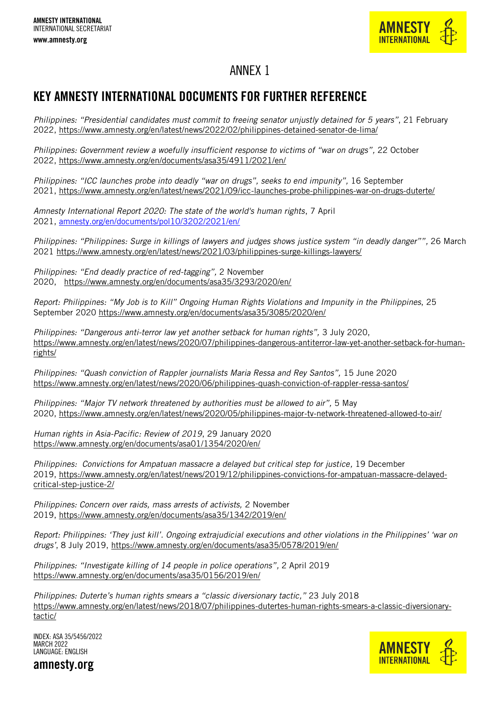

## ANNEX 1

## KEY AMNESTY INTERNATIONAL DOCUMENTS FOR FURTHER REFERENCE

*Philippines: "Presidential candidates must commit to freeing senator unjustly detained for 5 years"*, 21 February 2022, <https://www.amnesty.org/en/latest/news/2022/02/philippines-detained-senator-de-lima/>

*Philippines: Government review a woefully insufficient response to victims of "war on drugs",* 22 October 2022, <https://www.amnesty.org/en/documents/asa35/4911/2021/en/>

*Philippines: "ICC launches probe into deadly "war on drugs", seeks to end impunity", 16 September* 2021, <https://www.amnesty.org/en/latest/news/2021/09/icc-launches-probe-philippines-war-on-drugs-duterte/>

*Amnesty International Report 2020: The state of the world's human rights*, 7 April 2021, [amnesty.org/en/documents/pol10/3202/2021/en/](http://www.amnesty.org/en/documents/pol10/3202/2021/en/)

*Philippines: "Philippines: Surge in killings of lawyers and judges shows justice system "in deadly danger"",* 26 March 2021 <https://www.amnesty.org/en/latest/news/2021/03/philippines-surge-killings-lawyers/>

*Philippines: "End deadly practice of red-tagging",* 2 November 2020, <https://www.amnesty.org/en/documents/asa35/3293/2020/en/>

*Report: Philippines: "My Job is to Kill" Ongoing Human Rights Violations and Impunity in the Philippines*, 25 September 2020<https://www.amnesty.org/en/documents/asa35/3085/2020/en/>

*Philippines: "Dangerous anti-terror law yet another setback for human rights",* 3 July 2020, [https://www.amnesty.org/en/latest/news/2020/07/philippines-dangerous-antiterror-law-yet-another-setback-for-human](https://www.amnesty.org/en/latest/news/2020/07/philippines-dangerous-antiterror-law-yet-another-setback-for-human-rights/)[rights/](https://www.amnesty.org/en/latest/news/2020/07/philippines-dangerous-antiterror-law-yet-another-setback-for-human-rights/)

*Philippines: "Quash conviction of Rappler journalists Maria Ressa and Rey Santos",* 15 June 2020 <https://www.amnesty.org/en/latest/news/2020/06/philippines-quash-conviction-of-rappler-ressa-santos/>

*Philippines: "Major TV network threatened by authorities must be allowed to air",* 5 May 2020, <https://www.amnesty.org/en/latest/news/2020/05/philippines-major-tv-network-threatened-allowed-to-air/>

*Human rights in Asia-Pacific: Review of 2019*, 29 January 2020 <https://www.amnesty.org/en/documents/asa01/1354/2020/en/>

*Philippines: Convictions for Ampatuan massacre a delayed but critical step for justice,* 19 December 2019, [https://www.amnesty.org/en/latest/news/2019/12/philippines-convictions-for-ampatuan-massacre-delayed](https://www.amnesty.org/en/latest/news/2019/12/philippines-convictions-for-ampatuan-massacre-delayed-critical-step-justice-2/)[critical-step-justice-2/](https://www.amnesty.org/en/latest/news/2019/12/philippines-convictions-for-ampatuan-massacre-delayed-critical-step-justice-2/)

*Philippines: Concern over raids, mass arrests of activists,* 2 November 2019, <https://www.amnesty.org/en/documents/asa35/1342/2019/en/>

*Report: Philippines: 'They just kill'. Ongoing extrajudicial executions and other violations in the Philippines' 'war on drugs'*, 8 July 2019, <https://www.amnesty.org/en/documents/asa35/0578/2019/en/>

*Philippines: "Investigate killing of 14 people in police operations",* 2 April 2019 <https://www.amnesty.org/en/documents/asa35/0156/2019/en/>

*Philippines: Duterte's human rights smears a "classic diversionary tactic,"* 23 July 2018 [https://www.amnesty.org/en/latest/news/2018/07/philippines-dutertes-human-rights-smears-a-classic-diversionary](https://www.amnesty.org/en/latest/news/2018/07/philippines-dutertes-human-rights-smears-a-classic-diversionary-tactic/)[tactic/](https://www.amnesty.org/en/latest/news/2018/07/philippines-dutertes-human-rights-smears-a-classic-diversionary-tactic/)



INDEX: ASA 35/5456/2022 MARCH 2022 LANGUAGE: ENGLISH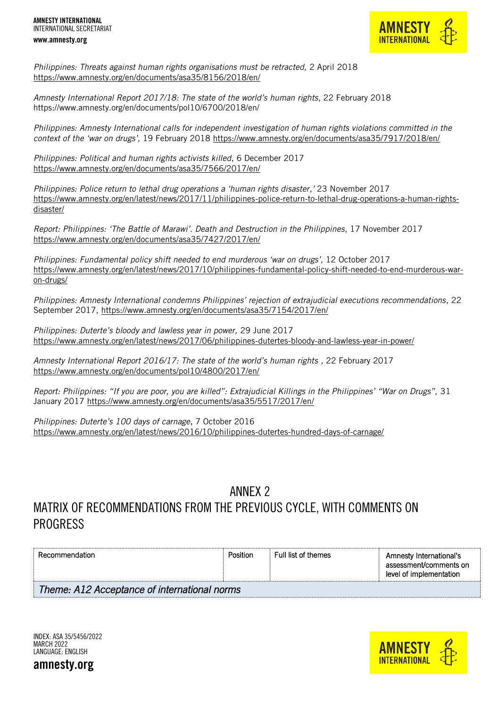

*Philippines: Threats against human rights organisations must be retracted,* 2 April 2018 <https://www.amnesty.org/en/documents/asa35/8156/2018/en/>

*Amnesty International Report 2017/18: The state of the world's human rights,* 22 February 2018 https://www.amnesty.org/en/documents/pol10/6700/2018/en/

*Philippines: Amnesty International calls for independent investigation of human rights violations committed in the context of the 'war on drugs'*, 19 February 2018<https://www.amnesty.org/en/documents/asa35/7917/2018/en/>

*Philippines: Political and human rights activists killed*, 6 December 2017 <https://www.amnesty.org/en/documents/asa35/7566/2017/en/>

*Philippines: Police return to lethal drug operations a 'human rights disaster,'* 23 November 2017 [https://www.amnesty.org/en/latest/news/2017/11/philippines-police-return-to-lethal-drug-operations-a-human-rights](https://www.amnesty.org/en/latest/news/2017/11/philippines-police-return-to-lethal-drug-operations-a-human-rights-disaster/)[disaster/](https://www.amnesty.org/en/latest/news/2017/11/philippines-police-return-to-lethal-drug-operations-a-human-rights-disaster/)

*Report: Philippines: 'The Battle of Marawi'. Death and Destruction in the Philippines*, 17 November 2017 <https://www.amnesty.org/en/documents/asa35/7427/2017/en/>

*Philippines: Fundamental policy shift needed to end murderous 'war on drugs',* 12 October 2017 [https://www.amnesty.org/en/latest/news/2017/10/philippines-fundamental-policy-shift-needed-to-end-murderous-war](https://www.amnesty.org/en/latest/news/2017/10/philippines-fundamental-policy-shift-needed-to-end-murderous-war-on-drugs/)[on-drugs/](https://www.amnesty.org/en/latest/news/2017/10/philippines-fundamental-policy-shift-needed-to-end-murderous-war-on-drugs/)

*Philippines: Amnesty International condemns Philippines' rejection of extrajudicial executions recommendations*, 22 September 2017,<https://www.amnesty.org/en/documents/asa35/7154/2017/en/>

*Philippines: Duterte's bloody and lawless year in power,* 29 June 2017 <https://www.amnesty.org/en/latest/news/2017/06/philippines-dutertes-bloody-and-lawless-year-in-power/>

*Amnesty International Report 2016/17: The state of the world's human rights ,* 22 February 2017 <https://www.amnesty.org/en/documents/pol10/4800/2017/en/>

*Report: Philippines: "If you are poor, you are killed": Extrajudicial Killings in the Philippines' "War on Drugs",* 31 January 2017<https://www.amnesty.org/en/documents/asa35/5517/2017/en/>

*Philippines: Duterte's 100 days of carnage*, 7 October 2016 <https://www.amnesty.org/en/latest/news/2016/10/philippines-dutertes-hundred-days-of-carnage/>

## ANNEX 2 MATRIX OF RECOMMENDATIONS FROM THE PREVIOUS CYCLE, WITH COMMENTS ON PROGRESS

| Recommendation                               | Position | Full list of themes | Amnesty International's<br>assessment/comments on<br>level of implementation |  |
|----------------------------------------------|----------|---------------------|------------------------------------------------------------------------------|--|
| Theme: A12 Acceptance of international norms |          |                     |                                                                              |  |



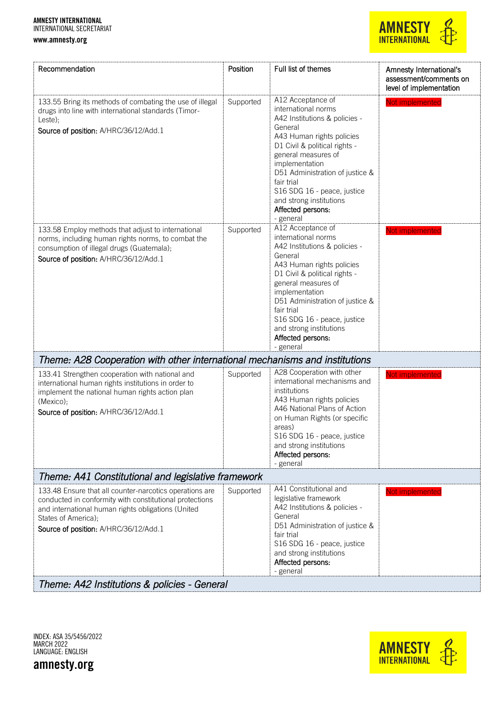www.amnesty.org



| Recommendation                                                                                                                                                                                                                           | Position  | Full list of themes                                                                                                                                                                                                                                                                                                                      | Amnesty International's<br>assessment/comments on<br>level of implementation |  |
|------------------------------------------------------------------------------------------------------------------------------------------------------------------------------------------------------------------------------------------|-----------|------------------------------------------------------------------------------------------------------------------------------------------------------------------------------------------------------------------------------------------------------------------------------------------------------------------------------------------|------------------------------------------------------------------------------|--|
| 133.55 Bring its methods of combating the use of illegal<br>drugs into line with international standards (Timor-<br>Leste);<br>Source of position: A/HRC/36/12/Add.1                                                                     | Supported | A12 Acceptance of<br>international norms<br>A42 Institutions & policies -<br>General<br>A43 Human rights policies<br>D1 Civil & political rights -<br>general measures of<br>implementation<br>D51 Administration of justice &<br>fair trial<br>S16 SDG 16 - peace, justice<br>and strong institutions<br>Affected persons:<br>- general | Not implemented                                                              |  |
| 133.58 Employ methods that adjust to international<br>norms, including human rights norms, to combat the<br>consumption of illegal drugs (Guatemala);<br>Source of position: A/HRC/36/12/Add.1                                           | Supported | A12 Acceptance of<br>international norms<br>A42 Institutions & policies -<br>General<br>A43 Human rights policies<br>D1 Civil & political rights -<br>general measures of<br>implementation<br>D51 Administration of justice &<br>fair trial<br>S16 SDG 16 - peace, justice<br>and strong institutions<br>Affected persons:<br>- general | Not implemented                                                              |  |
| Theme: A28 Cooperation with other international mechanisms and institutions                                                                                                                                                              |           |                                                                                                                                                                                                                                                                                                                                          |                                                                              |  |
| 133.41 Strengthen cooperation with national and<br>international human rights institutions in order to<br>implement the national human rights action plan<br>(Mexico);<br>Source of position: A/HRC/36/12/Add.1                          | Supported | A28 Cooperation with other<br>international mechanisms and<br>institutions<br>A43 Human rights policies<br>A46 National Plans of Action<br>on Human Rights (or specific<br>areas)<br>S16 SDG 16 - peace, justice<br>and strong institutions<br>Affected persons:<br>- general                                                            | Not implemented                                                              |  |
| Theme: A41 Constitutional and legislative framework                                                                                                                                                                                      |           |                                                                                                                                                                                                                                                                                                                                          |                                                                              |  |
| 133.48 Ensure that all counter-narcotics operations are<br>conducted in conformity with constitutional protections<br>and international human rights obligations (United<br>States of America);<br>Source of position: A/HRC/36/12/Add.1 | Supported | A41 Constitutional and<br>legislative framework<br>A42 Institutions & policies -<br>General<br>D51 Administration of justice &<br>fair trial<br>S16 SDG 16 - peace, justice<br>and strong institutions<br>Affected persons:<br>- general                                                                                                 | Not implemented                                                              |  |
| Theme: A42 Institutions & policies - General                                                                                                                                                                                             |           |                                                                                                                                                                                                                                                                                                                                          |                                                                              |  |

INDEX: ASA 35/5456/2022 MARCH 2022 LANGUAGE: ENGLISH

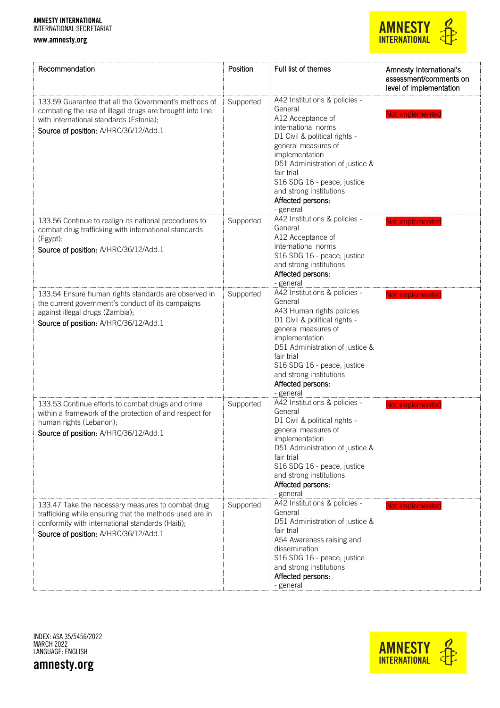#### www.amnesty.org



| Recommendation                                                                                                                                                                                            | Position  | Full list of themes                                                                                                                                                                                                                                                                                         | Amnesty International's<br>assessment/comments on<br>level of implementation |
|-----------------------------------------------------------------------------------------------------------------------------------------------------------------------------------------------------------|-----------|-------------------------------------------------------------------------------------------------------------------------------------------------------------------------------------------------------------------------------------------------------------------------------------------------------------|------------------------------------------------------------------------------|
| 133.59 Guarantee that all the Government's methods of<br>combating the use of illegal drugs are brought into line<br>with international standards (Estonia);<br>Source of position: A/HRC/36/12/Add.1     | Supported | A42 Institutions & policies -<br>General<br>A12 Acceptance of<br>international norms<br>D1 Civil & political rights -<br>general measures of<br>implementation<br>D51 Administration of justice &<br>fair trial<br>S16 SDG 16 - peace, justice<br>and strong institutions<br>Affected persons:<br>- general | Not implemented                                                              |
| 133.56 Continue to realign its national procedures to<br>combat drug trafficking with international standards<br>(Egypt);<br>Source of position: A/HRC/36/12/Add.1                                        | Supported | A42 Institutions & policies -<br>General<br>A12 Acceptance of<br>international norms<br>S16 SDG 16 - peace, justice<br>and strong institutions<br>Affected persons:<br>- general                                                                                                                            | Not implemented                                                              |
| 133.54 Ensure human rights standards are observed in<br>the current government's conduct of its campaigns<br>against illegal drugs (Zambia);<br>Source of position: A/HRC/36/12/Add.1                     | Supported | A42 Institutions & policies -<br>General<br>A43 Human rights policies<br>D1 Civil & political rights -<br>general measures of<br>implementation<br>D51 Administration of justice &<br>fair trial<br>S16 SDG 16 - peace, justice<br>and strong institutions<br>Affected persons:<br>- general                | Not implemented                                                              |
| 133.53 Continue efforts to combat drugs and crime<br>within a framework of the protection of and respect for<br>human rights (Lebanon);<br>Source of position: A/HRC/36/12/Add.1                          | Supported | A42 Institutions & policies -<br>General<br>D1 Civil & political rights -<br>general measures of<br>implementation<br>D51 Administration of justice &<br>fair trial<br>S16 SDG 16 - peace, justice<br>and strong institutions<br>Affected persons:<br>- general                                             | Not implemented                                                              |
| 133.47 Take the necessary measures to combat drug<br>trafficking while ensuring that the methods used are in<br>conformity with international standards (Haiti);<br>Source of position: A/HRC/36/12/Add.1 | Supported | A42 Institutions & policies -<br>General<br>D51 Administration of justice &<br>fair trial<br>A54 Awareness raising and<br>dissemination<br>S16 SDG 16 - peace, justice<br>and strong institutions<br>Affected persons:<br>- general                                                                         | Not implemented                                                              |

INDEX: ASA 35/5456/2022 MARCH 2022 LANGUAGE: ENGLISH

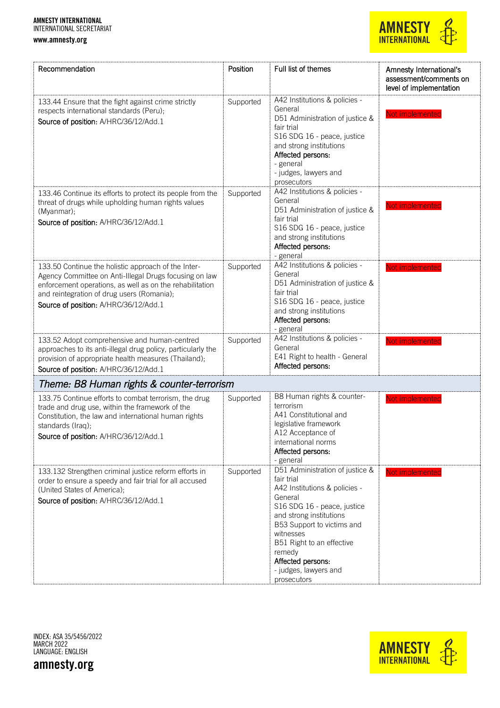www.amnesty.org

## **AMNESTY**<br>INTERNATIONAL

| Recommendation                                                                                                                                                                                                                                                   | Position  | Full list of themes                                                                                                                                                                                                                                                                                | Amnesty International's<br>assessment/comments on<br>level of implementation |
|------------------------------------------------------------------------------------------------------------------------------------------------------------------------------------------------------------------------------------------------------------------|-----------|----------------------------------------------------------------------------------------------------------------------------------------------------------------------------------------------------------------------------------------------------------------------------------------------------|------------------------------------------------------------------------------|
| 133.44 Ensure that the fight against crime strictly<br>respects international standards (Peru);<br>Source of position: A/HRC/36/12/Add.1                                                                                                                         | Supported | A42 Institutions & policies -<br>General<br>D51 Administration of justice &<br>fair trial<br>S16 SDG 16 - peace, justice<br>and strong institutions<br>Affected persons:<br>- general<br>- judges, lawyers and<br>prosecutors                                                                      | Not implemented                                                              |
| 133.46 Continue its efforts to protect its people from the<br>threat of drugs while upholding human rights values<br>(Myanmar);<br>Source of position: A/HRC/36/12/Add.1                                                                                         | Supported | A42 Institutions & policies -<br>General<br>D51 Administration of justice &<br>fair trial<br>S16 SDG 16 - peace, justice<br>and strong institutions<br>Affected persons:<br>- general                                                                                                              | Not implemented                                                              |
| 133.50 Continue the holistic approach of the Inter-<br>Agency Committee on Anti-Illegal Drugs focusing on law<br>enforcement operations, as well as on the rehabilitation<br>and reintegration of drug users (Romania);<br>Source of position: A/HRC/36/12/Add.1 | Supported | A42 Institutions & policies -<br>General<br>D51 Administration of justice &<br>fair trial<br>S16 SDG 16 - peace, justice<br>and strong institutions<br>Affected persons:<br>- general                                                                                                              | Not implemented                                                              |
| 133.52 Adopt comprehensive and human-centred<br>approaches to its anti-illegal drug policy, particularly the<br>provision of appropriate health measures (Thailand);<br>Source of position: A/HRC/36/12/Add.1                                                    | Supported | A42 Institutions & policies -<br>General<br>E41 Right to health - General<br>Affected persons:                                                                                                                                                                                                     | Not implemented                                                              |
| Theme: B8 Human rights & counter-terrorism                                                                                                                                                                                                                       |           |                                                                                                                                                                                                                                                                                                    |                                                                              |
| 133.75 Continue efforts to combat terrorism, the drug<br>trade and drug use, within the framework of the<br>Constitution, the law and international human rights<br>standards (Iraq);<br>Source of position: A/HRC/36/12/Add.1                                   | Supported | B8 Human rights & counter-<br>terrorism<br>A41 Constitutional and<br>legislative framework<br>A12 Acceptance of<br>international norms<br>Affected persons:<br>- general                                                                                                                           | Not implemented                                                              |
| 133.132 Strengthen criminal justice reform efforts in<br>order to ensure a speedy and fair trial for all accused<br>(United States of America);<br>Source of position: A/HRC/36/12/Add.1                                                                         | Supported | D51 Administration of justice &<br>fair trial<br>A42 Institutions & policies -<br>General<br>S16 SDG 16 - peace, justice<br>and strong institutions<br>B53 Support to victims and<br>witnesses<br>B51 Right to an effective<br>remedy<br>Affected persons:<br>- judges, lawyers and<br>prosecutors | Not implemented                                                              |

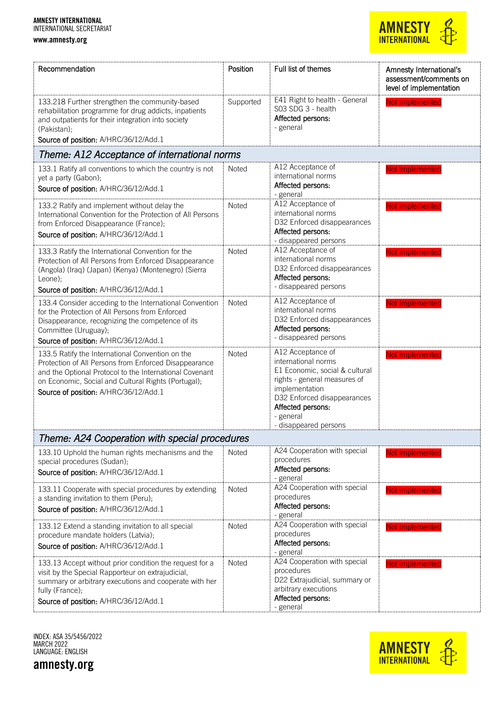www.amnesty.org



| Recommendation                                                                                                                                                                                                                                                       | Position     | Full list of themes                                                                                                                                                                                                    | Amnesty International's<br>assessment/comments on<br>level of implementation |
|----------------------------------------------------------------------------------------------------------------------------------------------------------------------------------------------------------------------------------------------------------------------|--------------|------------------------------------------------------------------------------------------------------------------------------------------------------------------------------------------------------------------------|------------------------------------------------------------------------------|
| 133.218 Further strengthen the community-based<br>rehabilitation programme for drug addicts, inpatients<br>and outpatients for their integration into society<br>(Pakistan);<br>Source of position: A/HRC/36/12/Add.1                                                | Supported    | E41 Right to health - General<br>S03 SDG 3 - health<br>Affected persons:<br>- general                                                                                                                                  | Not implemented                                                              |
| Theme: A12 Acceptance of international norms                                                                                                                                                                                                                         |              |                                                                                                                                                                                                                        |                                                                              |
| 133.1 Ratify all conventions to which the country is not<br>yet a party (Gabon);<br>Source of position: A/HRC/36/12/Add.1                                                                                                                                            | Noted        | A12 Acceptance of<br>international norms<br>Affected persons:<br>- general                                                                                                                                             | Not implemented                                                              |
| 133.2 Ratify and implement without delay the<br>International Convention for the Protection of All Persons<br>from Enforced Disappearance (France);<br>Source of position: A/HRC/36/12/Add.1                                                                         | Noted        | A12 Acceptance of<br>international norms<br>D32 Enforced disappearances<br>Affected persons:<br>- disappeared persons                                                                                                  | Not implemented                                                              |
| 133.3 Ratify the International Convention for the<br>Protection of All Persons from Enforced Disappearance<br>(Angola) (Iraq) (Japan) (Kenya) (Montenegro) (Sierra<br>Leone);<br>Source of position: A/HRC/36/12/Add.1                                               | Noted        | A12 Acceptance of<br>international norms<br>D32 Enforced disappearances<br>Affected persons:<br>- disappeared persons                                                                                                  | Not implemented                                                              |
| 133.4 Consider acceding to the International Convention<br>for the Protection of All Persons from Enforced<br>Disappearance, recognizing the competence of its<br>Committee (Uruguay);<br>Source of position: A/HRC/36/12/Add.1                                      | Noted        | A12 Acceptance of<br>international norms<br>D32 Enforced disappearances<br>Affected persons:<br>- disappeared persons                                                                                                  | Not implemented                                                              |
| 133.5 Ratify the International Convention on the<br>Protection of All Persons from Enforced Disappearance<br>and the Optional Protocol to the International Covenant<br>on Economic, Social and Cultural Rights (Portugal);<br>Source of position: A/HRC/36/12/Add.1 | Noted        | A12 Acceptance of<br>international norms<br>E1 Economic, social & cultural<br>rights - general measures of<br>implementation<br>D32 Enforced disappearances<br>Affected persons:<br>- general<br>- disappeared persons | Not implemented                                                              |
| Theme: A24 Cooperation with special procedures                                                                                                                                                                                                                       |              |                                                                                                                                                                                                                        |                                                                              |
| 133.10 Uphold the human rights mechanisms and the<br>special procedures (Sudan);<br>Source of position: A/HRC/36/12/Add.1                                                                                                                                            | Noted        | A24 Cooperation with special<br>procedures<br>Affected persons:<br>- general                                                                                                                                           | Not implemented                                                              |
| 133.11 Cooperate with special procedures by extending<br>a standing invitation to them (Peru);<br>Source of position: A/HRC/36/12/Add.1                                                                                                                              | Noted        | A24 Cooperation with special<br>procedures<br>Affected persons:<br>- general                                                                                                                                           | Not implemented                                                              |
| 133.12 Extend a standing invitation to all special<br>procedure mandate holders (Latvia);<br>Source of position: A/HRC/36/12/Add.1                                                                                                                                   | Noted        | A24 Cooperation with special<br>procedures<br>Affected persons:<br>- general                                                                                                                                           | Not implemented                                                              |
| 133.13 Accept without prior condition the request for a<br>visit by the Special Rapporteur on extrajudicial,<br>summary or arbitrary executions and cooperate with her<br>fully (France);<br>Source of position: A/HRC/36/12/Add.1                                   | <b>Noted</b> | A24 Cooperation with special<br>procedures<br>D22 Extrajudicial, summary or<br>arbitrary executions<br>Affected persons:<br>- general                                                                                  | Not implemented                                                              |

INDEX: ASA 35/5456/2022 MARCH 2022 LANGUAGE: ENGLISH

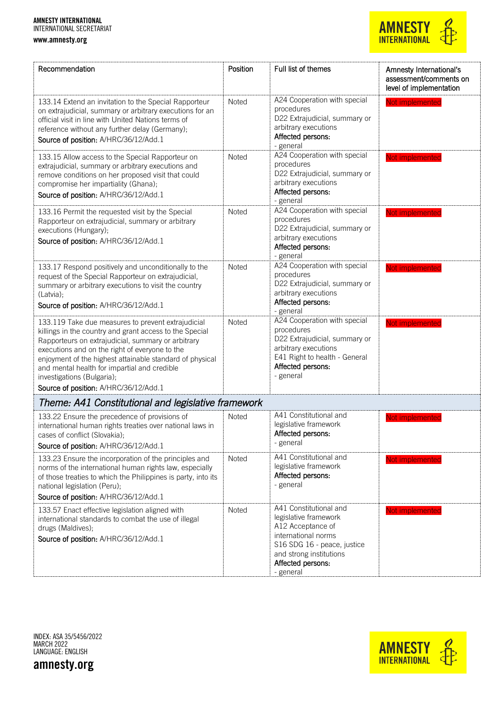

| Recommendation                                                                                                                                                                                                                                                                                                                                                                                           | Position     | Full list of themes                                                                                                                                                                     | Amnesty International's<br>assessment/comments on<br>level of implementation |
|----------------------------------------------------------------------------------------------------------------------------------------------------------------------------------------------------------------------------------------------------------------------------------------------------------------------------------------------------------------------------------------------------------|--------------|-----------------------------------------------------------------------------------------------------------------------------------------------------------------------------------------|------------------------------------------------------------------------------|
| 133.14 Extend an invitation to the Special Rapporteur<br>on extrajudicial, summary or arbitrary executions for an<br>official visit in line with United Nations terms of<br>reference without any further delay (Germany);<br>Source of position: A/HRC/36/12/Add.1                                                                                                                                      | Noted        | A24 Cooperation with special<br>procedures<br>D22 Extrajudicial, summary or<br>arbitrary executions<br>Affected persons:<br>- general                                                   | Not implemented                                                              |
| 133.15 Allow access to the Special Rapporteur on<br>extrajudicial, summary or arbitrary executions and<br>remove conditions on her proposed visit that could<br>compromise her impartiality (Ghana);<br>Source of position: A/HRC/36/12/Add.1                                                                                                                                                            | Noted        | A24 Cooperation with special<br>procedures<br>D22 Extrajudicial, summary or<br>arbitrary executions<br>Affected persons:<br>- general                                                   | Not implemented                                                              |
| 133.16 Permit the requested visit by the Special<br>Rapporteur on extrajudicial, summary or arbitrary<br>executions (Hungary);<br>Source of position: A/HRC/36/12/Add.1                                                                                                                                                                                                                                  | Noted        | A24 Cooperation with special<br>procedures<br>D22 Extrajudicial, summary or<br>arbitrary executions<br>Affected persons:<br>- general                                                   | Not implemented                                                              |
| 133.17 Respond positively and unconditionally to the<br>request of the Special Rapporteur on extrajudicial,<br>summary or arbitrary executions to visit the country<br>(Latvia);<br>Source of position: A/HRC/36/12/Add.1                                                                                                                                                                                | Noted        | A24 Cooperation with special<br>procedures<br>D22 Extrajudicial, summary or<br>arbitrary executions<br>Affected persons:<br>- general                                                   | Not implemented                                                              |
| 133.119 Take due measures to prevent extrajudicial<br>killings in the country and grant access to the Special<br>Rapporteurs on extrajudicial, summary or arbitrary<br>executions and on the right of everyone to the<br>enjoyment of the highest attainable standard of physical<br>and mental health for impartial and credible<br>investigations (Bulgaria);<br>Source of position: A/HRC/36/12/Add.1 | Noted        | A24 Cooperation with special<br>procedures<br>D22 Extrajudicial, summary or<br>arbitrary executions<br>E41 Right to health - General<br>Affected persons:<br>- general                  | Not implemented                                                              |
| Theme: A41 Constitutional and legislative framework                                                                                                                                                                                                                                                                                                                                                      |              |                                                                                                                                                                                         |                                                                              |
| 133.22 Ensure the precedence of provisions of<br>international human rights treaties over national laws in<br>cases of conflict (Slovakia);<br>Source of position: A/HRC/36/12/Add.1                                                                                                                                                                                                                     | Noted        | A41 Constitutional and<br>legislative framework<br>Affected persons:<br>- general                                                                                                       | Not implemented                                                              |
| 133.23 Ensure the incorporation of the principles and<br>norms of the international human rights law, especially<br>of those treaties to which the Philippines is party, into its<br>national legislation (Peru);<br>Source of position: A/HRC/36/12/Add.1                                                                                                                                               | Noted        | A41 Constitutional and<br>legislative framework<br>Affected persons:<br>- general                                                                                                       | Not implemented                                                              |
| 133.57 Enact effective legislation aligned with<br>international standards to combat the use of illegal<br>drugs (Maldives);<br>Source of position: A/HRC/36/12/Add.1                                                                                                                                                                                                                                    | <b>Noted</b> | A41 Constitutional and<br>legislative framework<br>A12 Acceptance of<br>international norms<br>S16 SDG 16 - peace, justice<br>and strong institutions<br>Affected persons:<br>- general | Not implemented                                                              |

INDEX: ASA 35/5456/2022 MARCH 2022 LANGUAGE: ENGLISH

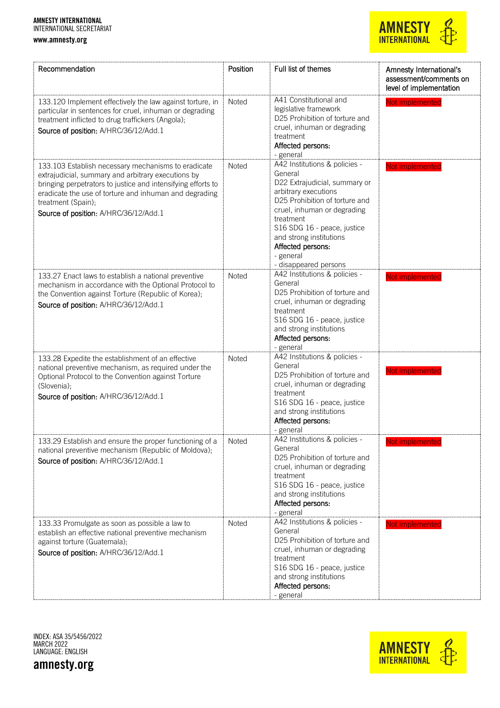

| Recommendation                                                                                                                                                                                                                                                                                     | Position     | Full list of themes                                                                                                                                                                                                                                                                                  | Amnesty International's<br>assessment/comments on<br>level of implementation |
|----------------------------------------------------------------------------------------------------------------------------------------------------------------------------------------------------------------------------------------------------------------------------------------------------|--------------|------------------------------------------------------------------------------------------------------------------------------------------------------------------------------------------------------------------------------------------------------------------------------------------------------|------------------------------------------------------------------------------|
| 133.120 Implement effectively the law against torture, in<br>particular in sentences for cruel, inhuman or degrading<br>treatment inflicted to drug traffickers (Angola);<br>Source of position: A/HRC/36/12/Add.1                                                                                 | Noted        | A41 Constitutional and<br>legislative framework<br>D25 Prohibition of torture and<br>cruel, inhuman or degrading<br>treatment<br>Affected persons:<br>- general                                                                                                                                      | Not implemented                                                              |
| 133.103 Establish necessary mechanisms to eradicate<br>extrajudicial, summary and arbitrary executions by<br>bringing perpetrators to justice and intensifying efforts to<br>eradicate the use of torture and inhuman and degrading<br>treatment (Spain);<br>Source of position: A/HRC/36/12/Add.1 | <b>Noted</b> | A42 Institutions & policies -<br>General<br>D22 Extrajudicial, summary or<br>arbitrary executions<br>D25 Prohibition of torture and<br>cruel, inhuman or degrading<br>treatment<br>S16 SDG 16 - peace, justice<br>and strong institutions<br>Affected persons:<br>- general<br>- disappeared persons | Not implemented                                                              |
| 133.27 Enact laws to establish a national preventive<br>mechanism in accordance with the Optional Protocol to<br>the Convention against Torture (Republic of Korea);<br>Source of position: A/HRC/36/12/Add.1                                                                                      | Noted        | A42 Institutions & policies -<br>General<br>D25 Prohibition of torture and<br>cruel, inhuman or degrading<br>treatment<br>S16 SDG 16 - peace, justice<br>and strong institutions<br>Affected persons:<br>- general                                                                                   | Not implemented                                                              |
| 133.28 Expedite the establishment of an effective<br>national preventive mechanism, as required under the<br>Optional Protocol to the Convention against Torture<br>(Slovenia);<br>Source of position: A/HRC/36/12/Add.1                                                                           | <b>Noted</b> | A42 Institutions & policies -<br>General<br>D25 Prohibition of torture and<br>cruel, inhuman or degrading<br>treatment<br>S16 SDG 16 - peace, justice<br>and strong institutions<br>Affected persons:<br>- general                                                                                   | Not implemented                                                              |
| 133.29 Establish and ensure the proper functioning of a<br>national preventive mechanism (Republic of Moldova);<br>Source of position: A/HRC/36/12/Add.1                                                                                                                                           | Noted        | A42 Institutions & policies<br>General<br>D25 Prohibition of torture and<br>cruel, inhuman or degrading<br>treatment<br>S16 SDG 16 - peace, justice<br>and strong institutions<br>Affected persons:<br>- general                                                                                     | Not implemented                                                              |
| 133.33 Promulgate as soon as possible a law to<br>establish an effective national preventive mechanism<br>against torture (Guatemala);<br>Source of position: A/HRC/36/12/Add.1                                                                                                                    | Noted        | A42 Institutions & policies -<br>General<br>D25 Prohibition of torture and<br>cruel, inhuman or degrading<br>treatment<br>S16 SDG 16 - peace, justice<br>and strong institutions<br>Affected persons:<br>- general                                                                                   | Not implemented                                                              |

INDEX: ASA 35/5456/2022 MARCH 2022 LANGUAGE: ENGLISH

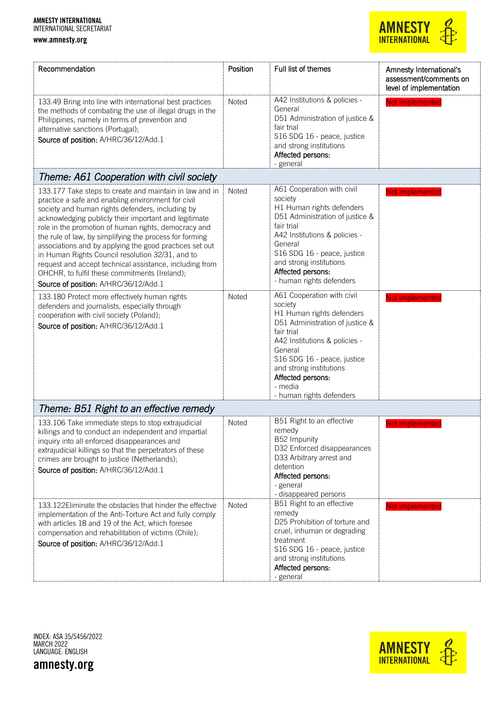

| Recommendation                                                                                                                                                                                                                                                                                                                                                                                                                                                                                                                                                                                                                                                                                                                                                                                           | Position              | Full list of themes                                                                                                                                                                                                                                                                                                                                                                                                                                                                                     | Amnesty International's<br>assessment/comments on<br>level of implementation |
|----------------------------------------------------------------------------------------------------------------------------------------------------------------------------------------------------------------------------------------------------------------------------------------------------------------------------------------------------------------------------------------------------------------------------------------------------------------------------------------------------------------------------------------------------------------------------------------------------------------------------------------------------------------------------------------------------------------------------------------------------------------------------------------------------------|-----------------------|---------------------------------------------------------------------------------------------------------------------------------------------------------------------------------------------------------------------------------------------------------------------------------------------------------------------------------------------------------------------------------------------------------------------------------------------------------------------------------------------------------|------------------------------------------------------------------------------|
| 133.49 Bring into line with international best practices<br>the methods of combating the use of illegal drugs in the<br>Philippines, namely in terms of prevention and<br>alternative sanctions (Portugal);<br>Source of position: A/HRC/36/12/Add.1                                                                                                                                                                                                                                                                                                                                                                                                                                                                                                                                                     | Noted                 | A42 Institutions & policies -<br>General<br>D51 Administration of justice &<br>fair trial<br>S16 SDG 16 - peace, justice<br>and strong institutions<br>Affected persons:<br>- general                                                                                                                                                                                                                                                                                                                   | Not implemented                                                              |
| Theme: A61 Cooperation with civil society                                                                                                                                                                                                                                                                                                                                                                                                                                                                                                                                                                                                                                                                                                                                                                |                       |                                                                                                                                                                                                                                                                                                                                                                                                                                                                                                         |                                                                              |
| 133.177 Take steps to create and maintain in law and in<br>practice a safe and enabling environment for civil<br>society and human rights defenders, including by<br>acknowledging publicly their important and legitimate<br>role in the promotion of human rights, democracy and<br>the rule of law, by simplifying the process for forming<br>associations and by applying the good practices set out<br>in Human Rights Council resolution 32/31, and to<br>request and accept technical assistance, including from<br>OHCHR, to fulfil these commitments (Ireland);<br>Source of position: A/HRC/36/12/Add.1<br>133.180 Protect more effectively human rights<br>defenders and journalists, especially through<br>cooperation with civil society (Poland);<br>Source of position: A/HRC/36/12/Add.1 | Noted<br><b>Noted</b> | A61 Cooperation with civil<br>society<br>H1 Human rights defenders<br>D51 Administration of justice &<br>fair trial<br>A42 Institutions & policies -<br>General<br>S16 SDG 16 - peace, justice<br>and strong institutions<br>Affected persons:<br>- human rights defenders<br>A61 Cooperation with civil<br>society<br>H1 Human rights defenders<br>D51 Administration of justice &<br>fair trial<br>A42 Institutions & policies -<br>General<br>S16 SDG 16 - peace, justice<br>and strong institutions | Not implemented<br>Not implemented                                           |
|                                                                                                                                                                                                                                                                                                                                                                                                                                                                                                                                                                                                                                                                                                                                                                                                          |                       | Affected persons:<br>- media                                                                                                                                                                                                                                                                                                                                                                                                                                                                            |                                                                              |
| Theme: B51 Right to an effective remedy                                                                                                                                                                                                                                                                                                                                                                                                                                                                                                                                                                                                                                                                                                                                                                  |                       | - human rights defenders                                                                                                                                                                                                                                                                                                                                                                                                                                                                                |                                                                              |
| 133.106 Take immediate steps to stop extrajudicial<br>killings and to conduct an independent and impartial<br>inquiry into all enforced disappearances and<br>extrajudicial killings so that the perpetrators of these<br>crimes are brought to justice (Netherlands);<br>Source of position: A/HRC/36/12/Add.1                                                                                                                                                                                                                                                                                                                                                                                                                                                                                          | Noted                 | B51 Right to an effective<br>remedy<br>B52 Impunity<br>D32 Enforced disappearances<br>D33 Arbitrary arrest and<br>detention<br>Affected persons:<br>- general<br>- disappeared persons                                                                                                                                                                                                                                                                                                                  | Not implemented                                                              |
| 133.122 Eliminate the obstacles that hinder the effective<br>implementation of the Anti-Torture Act and fully comply<br>with articles 18 and 19 of the Act, which foresee<br>compensation and rehabilitation of victims (Chile);<br>Source of position: A/HRC/36/12/Add.1                                                                                                                                                                                                                                                                                                                                                                                                                                                                                                                                | Noted                 | B51 Right to an effective<br>remedy<br>D25 Prohibition of torture and<br>cruel, inhuman or degrading<br>treatment<br>S16 SDG 16 - peace, justice<br>and strong institutions<br>Affected persons:<br>- general                                                                                                                                                                                                                                                                                           | Not implemented                                                              |

INDEX: ASA 35/5456/2022 MARCH 2022 LANGUAGE: ENGLISH

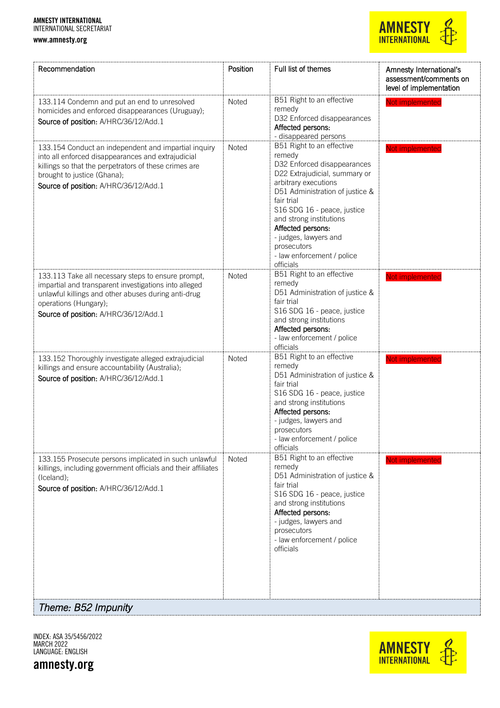www.amnesty.org

## **AMNESTY**<br>INTERNATIONAL

| Recommendation                                                                                                                                                                                                                              | Position     | Full list of themes                                                                                                                                                                                                                                                                                                                            | Amnesty International's<br>assessment/comments on<br>level of implementation |
|---------------------------------------------------------------------------------------------------------------------------------------------------------------------------------------------------------------------------------------------|--------------|------------------------------------------------------------------------------------------------------------------------------------------------------------------------------------------------------------------------------------------------------------------------------------------------------------------------------------------------|------------------------------------------------------------------------------|
| 133.114 Condemn and put an end to unresolved<br>homicides and enforced disappearances (Uruguay);<br>Source of position: A/HRC/36/12/Add.1                                                                                                   | Noted        | B51 Right to an effective<br>remedy<br>D32 Enforced disappearances<br>Affected persons:<br>- disappeared persons                                                                                                                                                                                                                               | Not implemented                                                              |
| 133.154 Conduct an independent and impartial inquiry<br>into all enforced disappearances and extrajudicial<br>killings so that the perpetrators of these crimes are<br>brought to justice (Ghana);<br>Source of position: A/HRC/36/12/Add.1 | <b>Noted</b> | B51 Right to an effective<br>remedy<br>D32 Enforced disappearances<br>D22 Extrajudicial, summary or<br>arbitrary executions<br>D51 Administration of justice &<br>fair trial<br>S16 SDG 16 - peace, justice<br>and strong institutions<br>Affected persons:<br>- judges, lawyers and<br>prosecutors<br>- law enforcement / police<br>officials | Not implemented                                                              |
| 133.113 Take all necessary steps to ensure prompt,<br>impartial and transparent investigations into alleged<br>unlawful killings and other abuses during anti-drug<br>operations (Hungary);<br>Source of position: A/HRC/36/12/Add.1        | <b>Noted</b> | B51 Right to an effective<br>remedy<br>D51 Administration of justice &<br>fair trial<br>S16 SDG 16 - peace, justice<br>and strong institutions<br>Affected persons:<br>- law enforcement / police<br>officials                                                                                                                                 | Not implemented                                                              |
| 133.152 Thoroughly investigate alleged extrajudicial<br>killings and ensure accountability (Australia);<br>Source of position: A/HRC/36/12/Add.1                                                                                            | Noted        | B51 Right to an effective<br>remedy<br>D51 Administration of justice &<br>fair trial<br>S16 SDG 16 - peace, justice<br>and strong institutions<br>Affected persons:<br>- judges, lawyers and<br>prosecutors<br>- law enforcement / police<br>officials                                                                                         | Not implemented                                                              |
| 133.155 Prosecute persons implicated in such unlawful<br>killings, including government officials and their affiliates<br>(Iceland);<br>Source of position: A/HRC/36/12/Add.1                                                               | Noted        | B51 Right to an effective<br>remedy<br>D51 Administration of justice &<br>fair trial<br>S16 SDG 16 - peace, justice<br>and strong institutions<br>Affected persons:<br>- judges, lawyers and<br>prosecutors<br>- law enforcement / police<br>officials                                                                                         | Not implemented                                                              |
| Theme: B52 Impunity                                                                                                                                                                                                                         |              |                                                                                                                                                                                                                                                                                                                                                |                                                                              |

INDEX: ASA 35/5456/2022 MARCH 2022 LANGUAGE: ENGLISH

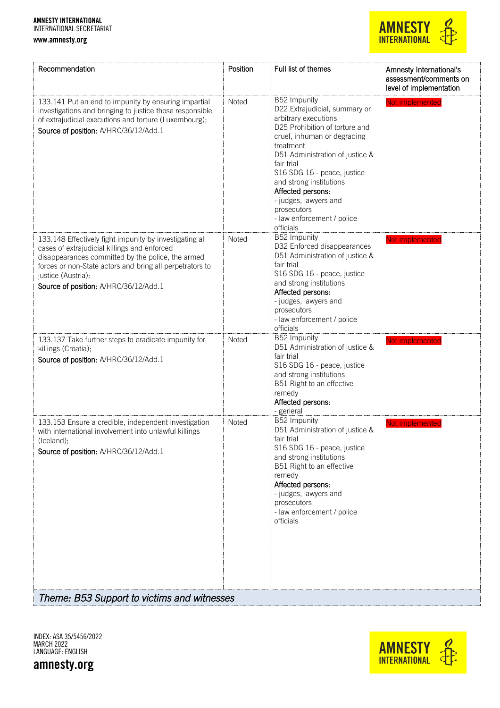#### www.amnesty.org



| Recommendation                                                                                                                                                                                                                                                                          | Position     | Full list of themes                                                                                                                                                                                                                                                                                                                                                    | Amnesty International's<br>assessment/comments on<br>level of implementation |
|-----------------------------------------------------------------------------------------------------------------------------------------------------------------------------------------------------------------------------------------------------------------------------------------|--------------|------------------------------------------------------------------------------------------------------------------------------------------------------------------------------------------------------------------------------------------------------------------------------------------------------------------------------------------------------------------------|------------------------------------------------------------------------------|
| 133.141 Put an end to impunity by ensuring impartial<br>investigations and bringing to justice those responsible<br>of extrajudicial executions and torture (Luxembourg);<br>Source of position: A/HRC/36/12/Add.1                                                                      | Noted        | B52 Impunity<br>D22 Extrajudicial, summary or<br>arbitrary executions<br>D25 Prohibition of torture and<br>cruel, inhuman or degrading<br>treatment<br>D51 Administration of justice &<br>fair trial<br>S16 SDG 16 - peace, justice<br>and strong institutions<br>Affected persons:<br>- judges, lawyers and<br>prosecutors<br>- law enforcement / police<br>officials | Not implemented                                                              |
| 133.148 Effectively fight impunity by investigating all<br>cases of extrajudicial killings and enforced<br>disappearances committed by the police, the armed<br>forces or non-State actors and bring all perpetrators to<br>justice (Austria);<br>Source of position: A/HRC/36/12/Add.1 | Noted        | B52 Impunity<br>D32 Enforced disappearances<br>D51 Administration of justice &<br>fair trial<br>S16 SDG 16 - peace, justice<br>and strong institutions<br>Affected persons:<br>- judges, lawyers and<br>prosecutors<br>- law enforcement / police<br>officials                                                                                                         | Not implemented                                                              |
| 133.137 Take further steps to eradicate impunity for<br>killings (Croatia);<br>Source of position: A/HRC/36/12/Add.1                                                                                                                                                                    | <b>Noted</b> | B52 Impunity<br>D51 Administration of justice &<br>fair trial<br>S16 SDG 16 - peace, justice<br>and strong institutions<br>B51 Right to an effective<br>remedy<br>Affected persons:<br>- general                                                                                                                                                                       | Not implemented                                                              |
| 133.153 Ensure a credible, independent investigation<br>with international involvement into unlawful killings<br>(Iceland);<br>Source of position: A/HRC/36/12/Add.1                                                                                                                    | Noted        | B52 Impunity<br>D51 Administration of justice &<br>fair trial<br>S16 SDG 16 - peace, justice<br>and strong institutions<br>B51 Right to an effective<br>remedy<br>Affected persons:<br>- judges, lawyers and<br>prosecutors<br>- law enforcement / police<br>officials                                                                                                 | Not implemented                                                              |
| Theme: B53 Support to victims and witnesses                                                                                                                                                                                                                                             |              |                                                                                                                                                                                                                                                                                                                                                                        |                                                                              |

INDEX: ASA 35/5456/2022 MARCH 2022 LANGUAGE: ENGLISH

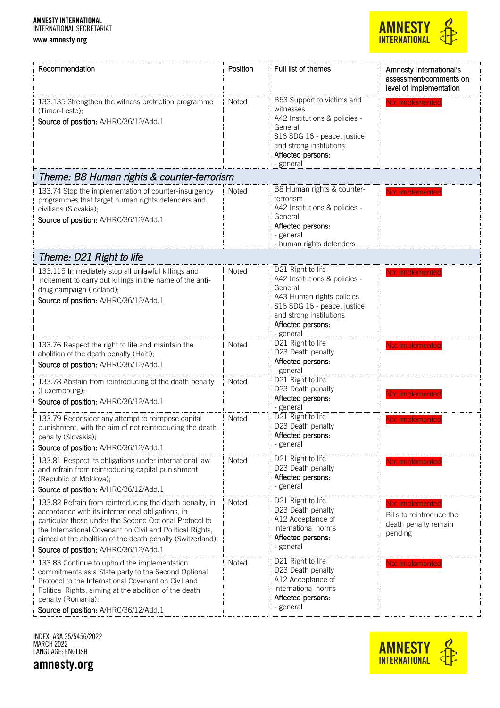

| Recommendation                                                                                                                                                                                                                                                                                                                             | Position | Full list of themes                                                                                                                                                                    | Amnesty International's<br>assessment/comments on<br>level of implementation   |
|--------------------------------------------------------------------------------------------------------------------------------------------------------------------------------------------------------------------------------------------------------------------------------------------------------------------------------------------|----------|----------------------------------------------------------------------------------------------------------------------------------------------------------------------------------------|--------------------------------------------------------------------------------|
| 133.135 Strengthen the witness protection programme<br>(Timor-Leste);<br>Source of position: A/HRC/36/12/Add.1                                                                                                                                                                                                                             | Noted    | B53 Support to victims and<br>witnesses<br>A42 Institutions & policies -<br>General<br>S16 SDG 16 - peace, justice<br>and strong institutions<br>Affected persons:<br>- general        | Not implemented                                                                |
| Theme: B8 Human rights & counter-terrorism                                                                                                                                                                                                                                                                                                 |          |                                                                                                                                                                                        |                                                                                |
| 133.74 Stop the implementation of counter-insurgency<br>programmes that target human rights defenders and<br>civilians (Slovakia);<br>Source of position: A/HRC/36/12/Add.1                                                                                                                                                                | Noted    | B8 Human rights & counter-<br>terrorism<br>A42 Institutions & policies -<br>General<br>Affected persons:<br>- general<br>- human rights defenders                                      | Not implemented                                                                |
| Theme: D21 Right to life                                                                                                                                                                                                                                                                                                                   |          |                                                                                                                                                                                        |                                                                                |
| 133.115 Immediately stop all unlawful killings and<br>incitement to carry out killings in the name of the anti-<br>drug campaign (Iceland);<br>Source of position: A/HRC/36/12/Add.1                                                                                                                                                       | Noted    | D21 Right to life<br>A42 Institutions & policies -<br>General<br>A43 Human rights policies<br>S16 SDG 16 - peace, justice<br>and strong institutions<br>Affected persons:<br>- general | Not implemented                                                                |
| 133.76 Respect the right to life and maintain the<br>abolition of the death penalty (Haiti);<br>Source of position: A/HRC/36/12/Add.1                                                                                                                                                                                                      | Noted    | D21 Right to life<br>D23 Death penalty<br>Affected persons:<br>- general                                                                                                               | Not implemented                                                                |
| 133.78 Abstain from reintroducing of the death penalty<br>(Luxembourg);<br>Source of position: A/HRC/36/12/Add.1                                                                                                                                                                                                                           | Noted    | D21 Right to life<br>D23 Death penalty<br>Affected persons:<br>- general                                                                                                               | Not implemented                                                                |
| 133.79 Reconsider any attempt to reimpose capital<br>punishment, with the aim of not reintroducing the death<br>penalty (Slovakia);<br>Source of position: A/HRC/36/12/Add.1                                                                                                                                                               | Noted    | D21 Right to life<br>D23 Death penalty<br>Affected persons:<br>- general                                                                                                               | Not implemented                                                                |
| 133.81 Respect its obligations under international law<br>and refrain from reintroducing capital punishment<br>(Republic of Moldova);<br>Source of position: A/HRC/36/12/Add.1                                                                                                                                                             | Noted    | D21 Right to life<br>D23 Death penalty<br>Affected persons:<br>- general                                                                                                               | Not implemented                                                                |
| 133.82 Refrain from reintroducing the death penalty, in<br>accordance with its international obligations, in<br>particular those under the Second Optional Protocol to<br>the International Covenant on Civil and Political Rights,<br>aimed at the abolition of the death penalty (Switzerland);<br>Source of position: A/HRC/36/12/Add.1 | Noted    | D21 Right to life<br>D23 Death penalty<br>A12 Acceptance of<br>international norms<br>Affected persons:<br>- general                                                                   | Not implemented<br>Bills to reintroduce the<br>death penalty remain<br>pending |
| 133.83 Continue to uphold the implementation<br>commitments as a State party to the Second Optional<br>Protocol to the International Covenant on Civil and<br>Political Rights, aiming at the abolition of the death<br>penalty (Romania);<br>Source of position: A/HRC/36/12/Add.1                                                        | Noted    | D21 Right to life<br>D23 Death penalty<br>A12 Acceptance of<br>international norms<br>Affected persons:<br>- general                                                                   | Not implemented                                                                |

INDEX: ASA 35/5456/2022 MARCH 2022 LANGUAGE: ENGLISH



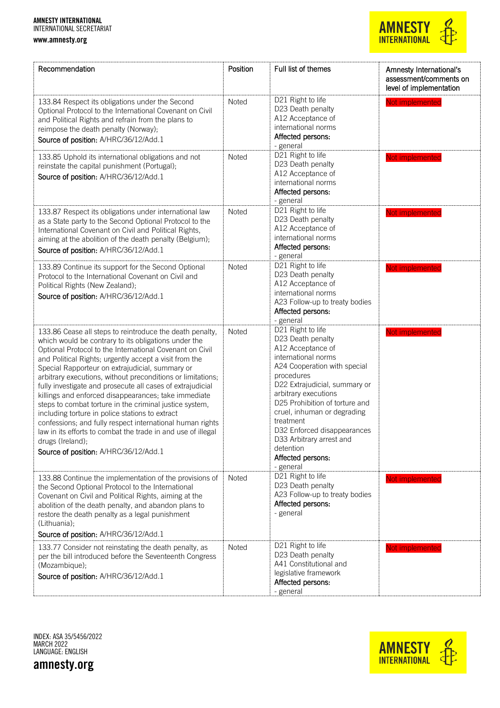www.amnesty.org

## **AMNESTY**<br>INTERNATIONAL

| Recommendation                                                                                                                                                                                                                                                                                                                                                                                                                                                                                                                                                                                                                                                                                                                                                                         | Position     | Full list of themes                                                                                                                                                                                                                                                                                                                                                               | Amnesty International's<br>assessment/comments on<br>level of implementation |
|----------------------------------------------------------------------------------------------------------------------------------------------------------------------------------------------------------------------------------------------------------------------------------------------------------------------------------------------------------------------------------------------------------------------------------------------------------------------------------------------------------------------------------------------------------------------------------------------------------------------------------------------------------------------------------------------------------------------------------------------------------------------------------------|--------------|-----------------------------------------------------------------------------------------------------------------------------------------------------------------------------------------------------------------------------------------------------------------------------------------------------------------------------------------------------------------------------------|------------------------------------------------------------------------------|
| 133.84 Respect its obligations under the Second<br>Optional Protocol to the International Covenant on Civil<br>and Political Rights and refrain from the plans to<br>reimpose the death penalty (Norway);<br>Source of position: A/HRC/36/12/Add.1                                                                                                                                                                                                                                                                                                                                                                                                                                                                                                                                     | Noted        | D21 Right to life<br>D23 Death penalty<br>A12 Acceptance of<br>international norms<br>Affected persons:<br>- general                                                                                                                                                                                                                                                              | Not implemented                                                              |
| 133.85 Uphold its international obligations and not<br>reinstate the capital punishment (Portugal);<br>Source of position: A/HRC/36/12/Add.1                                                                                                                                                                                                                                                                                                                                                                                                                                                                                                                                                                                                                                           | Noted        | D21 Right to life<br>D23 Death penalty<br>A12 Acceptance of<br>international norms<br>Affected persons:<br>- general                                                                                                                                                                                                                                                              | Not implemented                                                              |
| 133.87 Respect its obligations under international law<br>as a State party to the Second Optional Protocol to the<br>International Covenant on Civil and Political Rights,<br>aiming at the abolition of the death penalty (Belgium);<br>Source of position: A/HRC/36/12/Add.1                                                                                                                                                                                                                                                                                                                                                                                                                                                                                                         | Noted        | D21 Right to life<br>D23 Death penalty<br>A12 Acceptance of<br>international norms<br>Affected persons:<br>- general                                                                                                                                                                                                                                                              | Not implemented                                                              |
| 133.89 Continue its support for the Second Optional<br>Protocol to the International Covenant on Civil and<br>Political Rights (New Zealand);<br>Source of position: A/HRC/36/12/Add.1                                                                                                                                                                                                                                                                                                                                                                                                                                                                                                                                                                                                 | <b>Noted</b> | D21 Right to life<br>D23 Death penalty<br>A12 Acceptance of<br>international norms<br>A23 Follow-up to treaty bodies<br>Affected persons:<br>- general                                                                                                                                                                                                                            | Not implemented                                                              |
| 133.86 Cease all steps to reintroduce the death penalty,<br>which would be contrary to its obligations under the<br>Optional Protocol to the International Covenant on Civil<br>and Political Rights; urgently accept a visit from the<br>Special Rapporteur on extrajudicial, summary or<br>arbitrary executions, without preconditions or limitations;<br>fully investigate and prosecute all cases of extrajudicial<br>killings and enforced disappearances; take immediate<br>steps to combat torture in the criminal justice system,<br>including torture in police stations to extract<br>confessions; and fully respect international human rights<br>law in its efforts to combat the trade in and use of illegal<br>drugs (Ireland);<br>Source of position: A/HRC/36/12/Add.1 | Noted        | D21 Right to life<br>D23 Death penalty<br>A12 Acceptance of<br>international norms<br>A24 Cooperation with special<br>procedures<br>D22 Extrajudicial, summary or<br>arbitrary executions<br>D25 Prohibition of torture and<br>cruel, inhuman or degrading<br>treatment<br>D32 Enforced disappearances<br>D33 Arbitrary arrest and<br>detention<br>Affected persons:<br>- general | Not implemented                                                              |
| 133.88 Continue the implementation of the provisions of<br>the Second Optional Protocol to the International<br>Covenant on Civil and Political Rights, aiming at the<br>abolition of the death penalty, and abandon plans to<br>restore the death penalty as a legal punishment<br>(Lithuania);<br>Source of position: A/HRC/36/12/Add.1                                                                                                                                                                                                                                                                                                                                                                                                                                              | Noted        | D21 Right to life<br>D23 Death penalty<br>A23 Follow-up to treaty bodies<br>Affected persons:<br>- general                                                                                                                                                                                                                                                                        | Not implemented                                                              |
| 133.77 Consider not reinstating the death penalty, as<br>per the bill introduced before the Seventeenth Congress<br>(Mozambique);<br>Source of position: A/HRC/36/12/Add.1                                                                                                                                                                                                                                                                                                                                                                                                                                                                                                                                                                                                             | Noted        | D21 Right to life<br>D23 Death penalty<br>A41 Constitutional and<br>legislative framework<br>Affected persons:<br>- general                                                                                                                                                                                                                                                       | Not implemented                                                              |

INDEX: ASA 35/5456/2022 MARCH 2022 LANGUAGE: ENGLISH

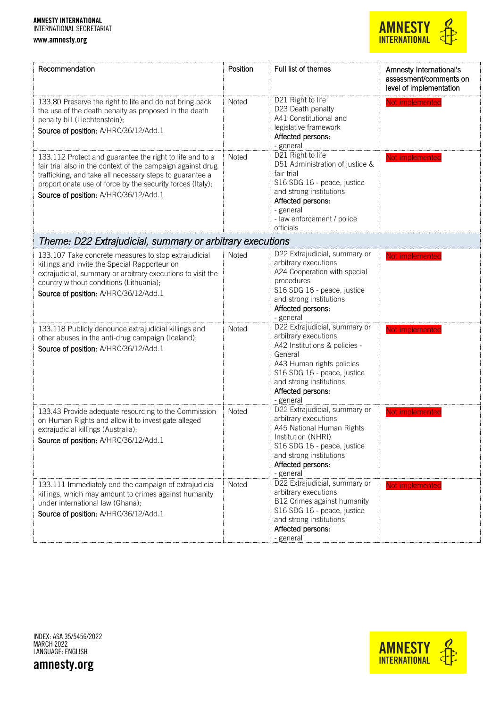

| Recommendation                                                                                                                                                                                                                                                                             | Position | Full list of themes                                                                                                                                                                                                        | Amnesty International's<br>assessment/comments on<br>level of implementation |
|--------------------------------------------------------------------------------------------------------------------------------------------------------------------------------------------------------------------------------------------------------------------------------------------|----------|----------------------------------------------------------------------------------------------------------------------------------------------------------------------------------------------------------------------------|------------------------------------------------------------------------------|
| 133.80 Preserve the right to life and do not bring back<br>the use of the death penalty as proposed in the death<br>penalty bill (Liechtenstein);<br>Source of position: A/HRC/36/12/Add.1                                                                                                 | Noted    | D21 Right to life<br>D23 Death penalty<br>A41 Constitutional and<br>legislative framework<br>Affected persons:<br>- general                                                                                                | Not implemented                                                              |
| 133.112 Protect and guarantee the right to life and to a<br>fair trial also in the context of the campaign against drug<br>trafficking, and take all necessary steps to guarantee a<br>proportionate use of force by the security forces (Italy);<br>Source of position: A/HRC/36/12/Add.1 | Noted    | D21 Right to life<br>D51 Administration of justice &<br>fair trial<br>S16 SDG 16 - peace, justice<br>and strong institutions<br>Affected persons:<br>- general<br>- law enforcement / police<br>officials                  | Not implemented                                                              |
| Theme: D22 Extrajudicial, summary or arbitrary executions                                                                                                                                                                                                                                  |          |                                                                                                                                                                                                                            |                                                                              |
| 133.107 Take concrete measures to stop extrajudicial<br>killings and invite the Special Rapporteur on<br>extrajudicial, summary or arbitrary executions to visit the<br>country without conditions (Lithuania);<br>Source of position: A/HRC/36/12/Add.1                                   | Noted    | D22 Extrajudicial, summary or<br>arbitrary executions<br>A24 Cooperation with special<br>procedures<br>S16 SDG 16 - peace, justice<br>and strong institutions<br>Affected persons:<br>- general                            | Not implemented                                                              |
| 133.118 Publicly denounce extrajudicial killings and<br>other abuses in the anti-drug campaign (Iceland);<br>Source of position: A/HRC/36/12/Add.1                                                                                                                                         | Noted    | D22 Extrajudicial, summary or<br>arbitrary executions<br>A42 Institutions & policies -<br>General<br>A43 Human rights policies<br>S16 SDG 16 - peace, justice<br>and strong institutions<br>Affected persons:<br>- general | Not implemented                                                              |
| 133.43 Provide adequate resourcing to the Commission<br>on Human Rights and allow it to investigate alleged<br>extrajudicial killings (Australia);<br>Source of position: A/HRC/36/12/Add.1                                                                                                | Noted    | D22 Extrajudicial, summary or<br>arbitrary executions<br>A45 National Human Rights<br>Institution (NHRI)<br>S16 SDG 16 - peace, justice<br>and strong institutions<br>Affected persons:<br>- general                       | Not implemented                                                              |
| 133.111 Immediately end the campaign of extrajudicial<br>killings, which may amount to crimes against humanity<br>under international law (Ghana);<br>Source of position: A/HRC/36/12/Add.1                                                                                                | Noted    | D22 Extrajudicial, summary or<br>arbitrary executions<br>B12 Crimes against humanity<br>S16 SDG 16 - peace, justice<br>and strong institutions<br>Affected persons:<br>- general                                           | Not implemented                                                              |

INDEX: ASA 35/5456/2022 MARCH 2022 LANGUAGE: ENGLISH

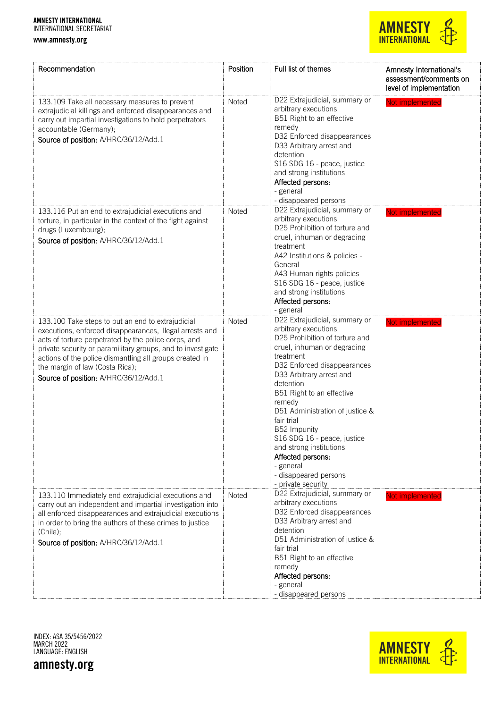www.amnesty.org



| Recommendation                                                                                                                                                                                                                                                                                                                                                              | Position | Full list of themes                                                                                                                                                                                                                                                                                                                                                                                                                                            | Amnesty International's<br>assessment/comments on<br>level of implementation |
|-----------------------------------------------------------------------------------------------------------------------------------------------------------------------------------------------------------------------------------------------------------------------------------------------------------------------------------------------------------------------------|----------|----------------------------------------------------------------------------------------------------------------------------------------------------------------------------------------------------------------------------------------------------------------------------------------------------------------------------------------------------------------------------------------------------------------------------------------------------------------|------------------------------------------------------------------------------|
| 133.109 Take all necessary measures to prevent<br>extrajudicial killings and enforced disappearances and<br>carry out impartial investigations to hold perpetrators<br>accountable (Germany);<br>Source of position: A/HRC/36/12/Add.1                                                                                                                                      | Noted    | D22 Extrajudicial, summary or<br>arbitrary executions<br>B51 Right to an effective<br>remedy<br>D32 Enforced disappearances<br>D33 Arbitrary arrest and<br>detention<br>S16 SDG 16 - peace, justice<br>and strong institutions<br>Affected persons:<br>- general<br>- disappeared persons                                                                                                                                                                      | Not implemented                                                              |
| 133.116 Put an end to extrajudicial executions and<br>torture, in particular in the context of the fight against<br>drugs (Luxembourg);<br>Source of position: A/HRC/36/12/Add.1                                                                                                                                                                                            | Noted    | D22 Extrajudicial, summary or<br>arbitrary executions<br>D25 Prohibition of torture and<br>cruel, inhuman or degrading<br>treatment<br>A42 Institutions & policies -<br>General<br>A43 Human rights policies<br>S16 SDG 16 - peace, justice<br>and strong institutions<br>Affected persons:<br>- general                                                                                                                                                       | Not implemented                                                              |
| 133.100 Take steps to put an end to extrajudicial<br>executions, enforced disappearances, illegal arrests and<br>acts of torture perpetrated by the police corps, and<br>private security or paramilitary groups, and to investigate<br>actions of the police dismantling all groups created in<br>the margin of law (Costa Rica);<br>Source of position: A/HRC/36/12/Add.1 | Noted    | D22 Extrajudicial, summary or<br>arbitrary executions<br>D25 Prohibition of torture and<br>cruel, inhuman or degrading<br>treatment<br>D32 Enforced disappearances<br>D33 Arbitrary arrest and<br>detention<br>B51 Right to an effective<br>remedy<br>D51 Administration of justice &<br>fair trial<br>B52 Impunity<br>S16 SDG 16 - peace, justice<br>and strong institutions<br>Affected persons:<br>- general<br>- disappeared persons<br>- private security | Not implemented                                                              |
| 133.110 Immediately end extrajudicial executions and<br>carry out an independent and impartial investigation into<br>all enforced disappearances and extrajudicial executions<br>in order to bring the authors of these crimes to justice<br>(Chile);<br>Source of position: A/HRC/36/12/Add.1                                                                              | Noted    | D22 Extrajudicial, summary or<br>arbitrary executions<br>D32 Enforced disappearances<br>D33 Arbitrary arrest and<br>detention<br>D51 Administration of justice &<br>fair trial<br>B51 Right to an effective<br>remedy<br>Affected persons:<br>- general<br>- disappeared persons                                                                                                                                                                               | Not implemented                                                              |

INDEX: ASA 35/5456/2022 MARCH 2022 LANGUAGE: ENGLISH



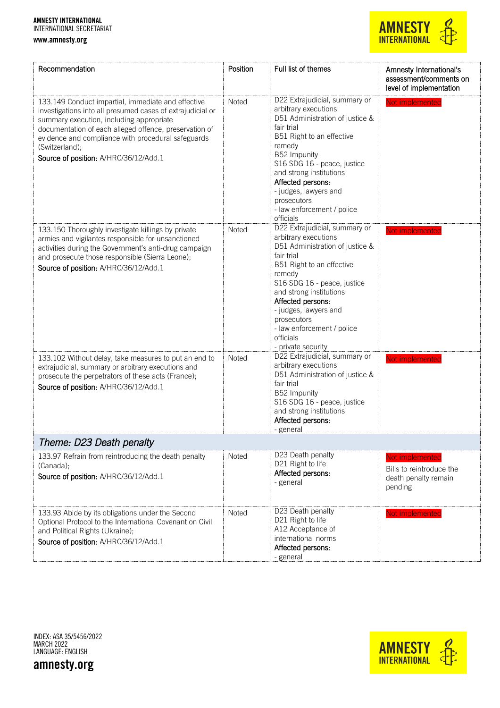www.amnesty.org



| Recommendation                                                                                                                                                                                                                                                                                                                          | Position | Full list of themes                                                                                                                                                                                                                                                                                                                   | Amnesty International's<br>assessment/comments on<br>level of implementation   |
|-----------------------------------------------------------------------------------------------------------------------------------------------------------------------------------------------------------------------------------------------------------------------------------------------------------------------------------------|----------|---------------------------------------------------------------------------------------------------------------------------------------------------------------------------------------------------------------------------------------------------------------------------------------------------------------------------------------|--------------------------------------------------------------------------------|
| 133.149 Conduct impartial, immediate and effective<br>investigations into all presumed cases of extrajudicial or<br>summary execution, including appropriate<br>documentation of each alleged offence, preservation of<br>evidence and compliance with procedural safeguards<br>(Switzerland);<br>Source of position: A/HRC/36/12/Add.1 | Noted    | D22 Extrajudicial, summary or<br>arbitrary executions<br>D51 Administration of justice &<br>fair trial<br>B51 Right to an effective<br>remedy<br>B52 Impunity<br>S16 SDG 16 - peace, justice<br>and strong institutions<br>Affected persons:<br>- judges, lawyers and<br>prosecutors<br>- law enforcement / police<br>officials       | Not implemented                                                                |
| 133.150 Thoroughly investigate killings by private<br>armies and vigilantes responsible for unsanctioned<br>activities during the Government's anti-drug campaign<br>and prosecute those responsible (Sierra Leone);<br>Source of position: A/HRC/36/12/Add.1                                                                           | Noted    | D22 Extrajudicial, summary or<br>arbitrary executions<br>D51 Administration of justice &<br>fair trial<br>B51 Right to an effective<br>remedy<br>S16 SDG 16 - peace, justice<br>and strong institutions<br>Affected persons.<br>- judges, lawyers and<br>prosecutors<br>- law enforcement / police<br>officials<br>- private security | Not implemented                                                                |
| 133.102 Without delay, take measures to put an end to<br>extrajudicial, summary or arbitrary executions and<br>prosecute the perpetrators of these acts (France);<br>Source of position: A/HRC/36/12/Add.1                                                                                                                              | Noted    | D22 Extrajudicial, summary or<br>arbitrary executions<br>D51 Administration of justice &<br>fair trial<br>B52 Impunity<br>S16 SDG 16 - peace, justice<br>and strong institutions<br>Affected persons:<br>- general                                                                                                                    | Not implemented                                                                |
| Theme: D23 Death penalty                                                                                                                                                                                                                                                                                                                |          |                                                                                                                                                                                                                                                                                                                                       |                                                                                |
| 133.97 Refrain from reintroducing the death penalty<br>(Canada);<br>Source of position: A/HRC/36/12/Add.1                                                                                                                                                                                                                               | Noted    | D23 Death penalty<br>D21 Right to life<br>Affected persons:<br>- general                                                                                                                                                                                                                                                              | Not implemented<br>Bills to reintroduce the<br>death penalty remain<br>pending |
| 133.93 Abide by its obligations under the Second<br>Optional Protocol to the International Covenant on Civil<br>and Political Rights (Ukraine);<br>Source of position: A/HRC/36/12/Add.1                                                                                                                                                | Noted    | D23 Death penalty<br>D21 Right to life<br>A12 Acceptance of<br>international norms<br>Affected persons:<br>- general                                                                                                                                                                                                                  | Not implemented                                                                |

INDEX: ASA 35/5456/2022 MARCH 2022 LANGUAGE: ENGLISH

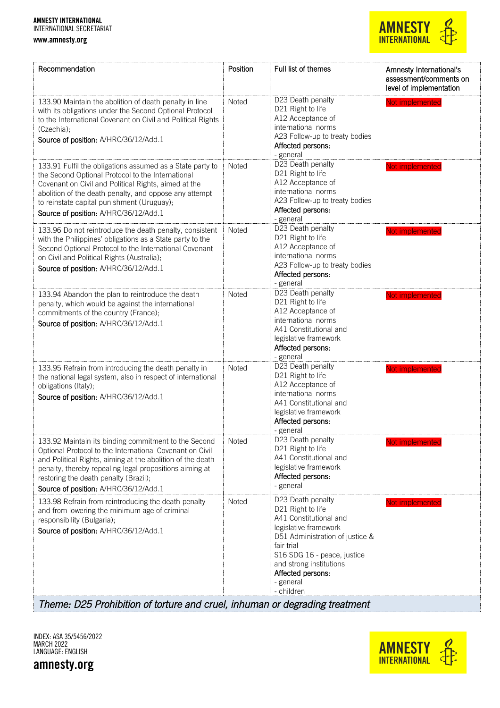www.amnesty.org

## **AMNESTY INTERNATIONAL**

| Recommendation                                                                                                                                                                                                                                                                                                              | Position | Full list of themes                                                                                                                                                                                                                                  | Amnesty International's<br>assessment/comments on<br>level of implementation |
|-----------------------------------------------------------------------------------------------------------------------------------------------------------------------------------------------------------------------------------------------------------------------------------------------------------------------------|----------|------------------------------------------------------------------------------------------------------------------------------------------------------------------------------------------------------------------------------------------------------|------------------------------------------------------------------------------|
| 133.90 Maintain the abolition of death penalty in line<br>with its obligations under the Second Optional Protocol<br>to the International Covenant on Civil and Political Rights<br>(Czechia);<br>Source of position: A/HRC/36/12/Add.1                                                                                     | Noted    | D23 Death penalty<br>D21 Right to life<br>A12 Acceptance of<br>international norms<br>A23 Follow-up to treaty bodies<br>Affected persons:<br>- general                                                                                               | Not implemented                                                              |
| 133.91 Fulfil the obligations assumed as a State party to<br>the Second Optional Protocol to the International<br>Covenant on Civil and Political Rights, aimed at the<br>abolition of the death penalty, and oppose any attempt<br>to reinstate capital punishment (Uruguay);<br>Source of position: A/HRC/36/12/Add.1     | Noted    | D23 Death penalty<br>D21 Right to life<br>A12 Acceptance of<br>international norms<br>A23 Follow-up to treaty bodies<br>Affected persons:<br>- general                                                                                               | Not implemented                                                              |
| 133.96 Do not reintroduce the death penalty, consistent<br>with the Philippines' obligations as a State party to the<br>Second Optional Protocol to the International Covenant<br>on Civil and Political Rights (Australia);<br>Source of position: A/HRC/36/12/Add.1                                                       | Noted    | D23 Death penalty<br>D21 Right to life<br>A12 Acceptance of<br>international norms<br>A23 Follow-up to treaty bodies<br>Affected persons:<br>- general                                                                                               | Not implemented                                                              |
| 133.94 Abandon the plan to reintroduce the death<br>penalty, which would be against the international<br>commitments of the country (France);<br>Source of position: A/HRC/36/12/Add.1                                                                                                                                      | Noted    | D23 Death penalty<br>D21 Right to life<br>A12 Acceptance of<br>international norms<br>A41 Constitutional and<br>legislative framework<br>Affected persons:<br>- general                                                                              | Not implemented                                                              |
| 133.95 Refrain from introducing the death penalty in<br>the national legal system, also in respect of international<br>obligations (Italy);<br>Source of position: A/HRC/36/12/Add.1                                                                                                                                        | Noted    | D23 Death penalty<br>D21 Right to life<br>A12 Acceptance of<br>international norms<br>A41 Constitutional and<br>legislative framework<br>Affected persons:<br>- general                                                                              | Not implemented                                                              |
| 133.92 Maintain its binding commitment to the Second<br>Optional Protocol to the International Covenant on Civil<br>and Political Rights, aiming at the abolition of the death<br>penalty, thereby repealing legal propositions aiming at<br>restoring the death penalty (Brazil);<br>Source of position: A/HRC/36/12/Add.1 | Noted    | D23 Death penalty<br>D21 Right to life<br>A41 Constitutional and<br>legislative framework<br>Affected persons:<br>- general                                                                                                                          | Not implemented                                                              |
| 133.98 Refrain from reintroducing the death penalty<br>and from lowering the minimum age of criminal<br>responsibility (Bulgaria);<br>Source of position: A/HRC/36/12/Add.1                                                                                                                                                 | Noted    | D23 Death penalty<br>D21 Right to life<br>A41 Constitutional and<br>legislative framework<br>D51 Administration of justice &<br>fair trial<br>S16 SDG 16 - peace, justice<br>and strong institutions<br>Affected persons:<br>- general<br>- children | Not implemented                                                              |

*Theme: D25 Prohibition of torture and cruel, inhuman or degrading treatment* 

INDEX: ASA 35/5456/2022 MARCH 2022 LANGUAGE: ENGLISH

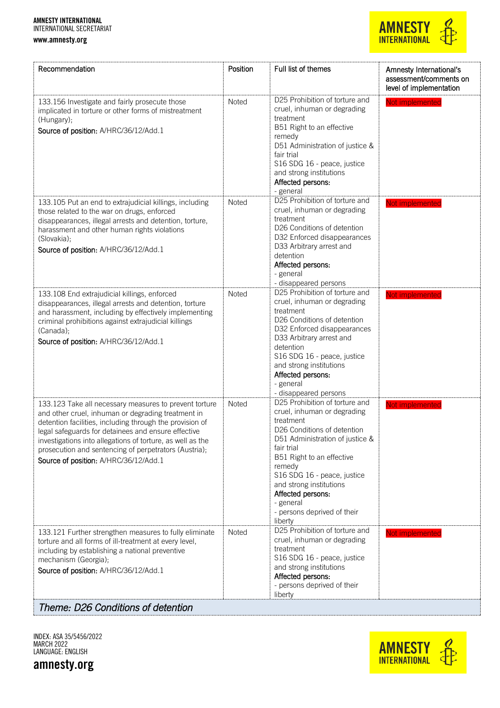www.amnesty.org



| Recommendation                                                                                                                                                                                                                                                                                                                                                                                  | Position | Full list of themes                                                                                                                                                                                                                                                                                                                     | Amnesty International's<br>assessment/comments on<br>level of implementation |
|-------------------------------------------------------------------------------------------------------------------------------------------------------------------------------------------------------------------------------------------------------------------------------------------------------------------------------------------------------------------------------------------------|----------|-----------------------------------------------------------------------------------------------------------------------------------------------------------------------------------------------------------------------------------------------------------------------------------------------------------------------------------------|------------------------------------------------------------------------------|
| 133.156 Investigate and fairly prosecute those<br>implicated in torture or other forms of mistreatment<br>(Hungary);<br>Source of position: A/HRC/36/12/Add.1                                                                                                                                                                                                                                   | Noted    | D25 Prohibition of torture and<br>cruel, inhuman or degrading<br>treatment<br>B51 Right to an effective<br>remedy<br>D51 Administration of justice &<br>fair trial<br>S16 SDG 16 - peace, justice<br>and strong institutions<br>Affected persons:<br>- general                                                                          | Not implemented                                                              |
| 133.105 Put an end to extrajudicial killings, including<br>those related to the war on drugs, enforced<br>disappearances, illegal arrests and detention, torture,<br>harassment and other human rights violations<br>(Slovakia);<br>Source of position: A/HRC/36/12/Add.1                                                                                                                       | Noted    | D25 Prohibition of torture and<br>cruel, inhuman or degrading<br>treatment<br>D26 Conditions of detention<br>D32 Enforced disappearances<br>D33 Arbitrary arrest and<br>detention<br>Affected persons:<br>- general<br>- disappeared persons                                                                                            | Not implemented                                                              |
| 133.108 End extrajudicial killings, enforced<br>disappearances, illegal arrests and detention, torture<br>and harassment, including by effectively implementing<br>criminal prohibitions against extrajudicial killings<br>(Canada);<br>Source of position: A/HRC/36/12/Add.1                                                                                                                   | Noted    | D25 Prohibition of torture and<br>cruel, inhuman or degrading<br>treatment<br>D26 Conditions of detention<br>D32 Enforced disappearances<br>D33 Arbitrary arrest and<br>detention<br>S16 SDG 16 - peace, justice<br>and strong institutions<br>Affected persons:<br>- general<br>- disappeared persons                                  | Not implemented                                                              |
| 133.123 Take all necessary measures to prevent torture<br>and other cruel, inhuman or degrading treatment in<br>detention facilities, including through the provision of<br>legal safeguards for detainees and ensure effective<br>investigations into allegations of torture, as well as the<br>prosecution and sentencing of perpetrators (Austria);<br>Source of position: A/HRC/36/12/Add.1 | Noted    | D25 Prohibition of torture and<br>cruel, inhuman or degrading<br>treatment<br>D26 Conditions of detention<br>D51 Administration of justice &<br>fair trial<br>B51 Right to an effective<br>remedy<br>S16 SDG 16 - peace, justice<br>and strong institutions<br>Affected persons:<br>- general<br>- persons deprived of their<br>liberty | Not implemented                                                              |
| 133.121 Further strengthen measures to fully eliminate<br>torture and all forms of ill-treatment at every level,<br>including by establishing a national preventive<br>mechanism (Georgia);<br>Source of position: A/HRC/36/12/Add.1                                                                                                                                                            | Noted    | D25 Prohibition of torture and<br>cruel, inhuman or degrading<br>treatment<br>S16 SDG 16 - peace, justice<br>and strong institutions<br>Affected persons:<br>- persons deprived of their<br>liberty                                                                                                                                     | Not implemented                                                              |

*Theme: D26 Conditions of detention* 

INDEX: ASA 35/5456/2022 MARCH 2022 LANGUAGE: ENGLISH

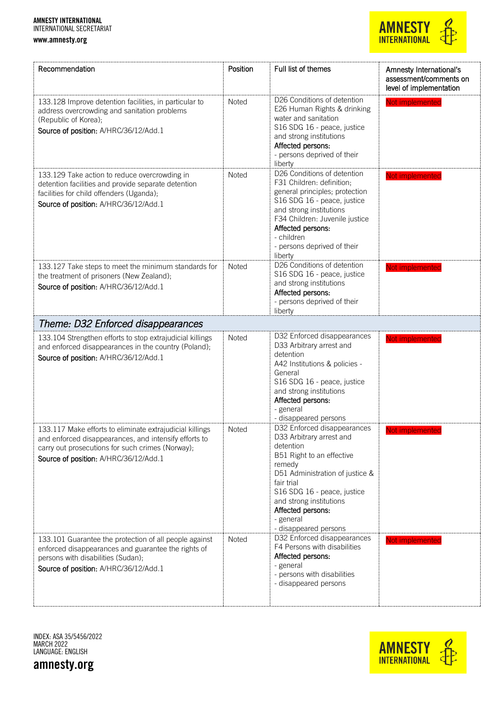www.amnesty.org



| Recommendation                                                                                                                                                                                                 | Position | Full list of themes                                                                                                                                                                                                                                                               | Amnesty International's<br>assessment/comments on<br>level of implementation |
|----------------------------------------------------------------------------------------------------------------------------------------------------------------------------------------------------------------|----------|-----------------------------------------------------------------------------------------------------------------------------------------------------------------------------------------------------------------------------------------------------------------------------------|------------------------------------------------------------------------------|
| 133.128 Improve detention facilities, in particular to<br>address overcrowding and sanitation problems<br>(Republic of Korea);<br>Source of position: A/HRC/36/12/Add.1                                        | Noted    | D26 Conditions of detention<br>E26 Human Rights & drinking<br>water and sanitation<br>S16 SDG 16 - peace, justice<br>and strong institutions<br>Affected persons:<br>- persons deprived of their<br>liberty                                                                       | Not implemented                                                              |
| 133.129 Take action to reduce overcrowding in<br>detention facilities and provide separate detention<br>facilities for child offenders (Uganda);<br>Source of position: A/HRC/36/12/Add.1                      | Noted    | D26 Conditions of detention<br>F31 Children: definition;<br>general principles; protection<br>S16 SDG 16 - peace, justice<br>and strong institutions<br>F34 Children: Juvenile justice<br>Affected persons:<br>- children<br>- persons deprived of their<br>liberty               | Not implemented                                                              |
| 133.127 Take steps to meet the minimum standards for<br>the treatment of prisoners (New Zealand);<br>Source of position: A/HRC/36/12/Add.1                                                                     | Noted    | D26 Conditions of detention<br>S16 SDG 16 - peace, justice<br>and strong institutions<br>Affected persons:<br>- persons deprived of their<br>liberty                                                                                                                              | Not implemented                                                              |
| Theme: D32 Enforced disappearances                                                                                                                                                                             |          |                                                                                                                                                                                                                                                                                   |                                                                              |
| 133.104 Strengthen efforts to stop extrajudicial killings<br>and enforced disappearances in the country (Poland);<br>Source of position: A/HRC/36/12/Add.1                                                     | Noted    | D32 Enforced disappearances<br>D33 Arbitrary arrest and<br>detention<br>A42 Institutions & policies -<br>General<br>S16 SDG 16 - peace, justice<br>and strong institutions<br>Affected persons:<br>- general<br>- disappeared persons                                             | Not implemented                                                              |
| 133.117 Make efforts to eliminate extrajudicial killings<br>and enforced disappearances, and intensify efforts to<br>carry out prosecutions for such crimes (Norway);<br>Source of position: A/HRC/36/12/Add.1 | Noted    | D32 Enforced disappearances<br>D33 Arbitrary arrest and<br>detention<br>B51 Right to an effective<br>remedy<br>D51 Administration of justice &<br>fair trial<br>S16 SDG 16 - peace, justice<br>and strong institutions<br>Affected persons:<br>- general<br>- disappeared persons | Not implemented                                                              |
| 133.101 Guarantee the protection of all people against<br>enforced disappearances and guarantee the rights of<br>persons with disabilities (Sudan);<br>Source of position: A/HRC/36/12/Add.1                   | Noted    | D32 Enforced disappearances<br>F4 Persons with disabilities<br>Affected persons:<br>- general<br>- persons with disabilities<br>- disappeared persons                                                                                                                             | Not implemented                                                              |

INDEX: ASA 35/5456/2022 MARCH 2022 LANGUAGE: ENGLISH

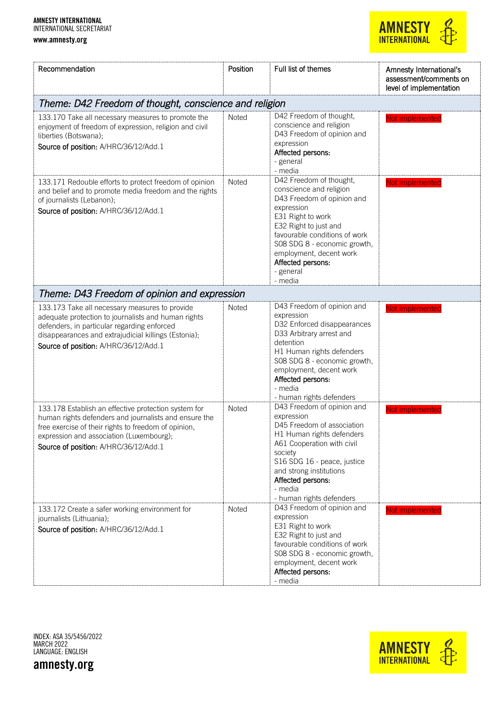

| Recommendation                                                                                                                                                                                                                                             | Position     | Full list of themes                                                                                                                                                                                                                                                                   | Amnesty International's<br>assessment/comments on<br>level of implementation |
|------------------------------------------------------------------------------------------------------------------------------------------------------------------------------------------------------------------------------------------------------------|--------------|---------------------------------------------------------------------------------------------------------------------------------------------------------------------------------------------------------------------------------------------------------------------------------------|------------------------------------------------------------------------------|
| Theme: D42 Freedom of thought, conscience and religion                                                                                                                                                                                                     |              |                                                                                                                                                                                                                                                                                       |                                                                              |
| 133.170 Take all necessary measures to promote the<br>enjoyment of freedom of expression, religion and civil<br>liberties (Botswana);<br>Source of position: A/HRC/36/12/Add.1                                                                             | Noted        | D42 Freedom of thought,<br>conscience and religion<br>D43 Freedom of opinion and<br>expression<br>Affected persons:<br>- general<br>- media                                                                                                                                           | Not implemented                                                              |
| 133.171 Redouble efforts to protect freedom of opinion<br>and belief and to promote media freedom and the rights<br>of journalists (Lebanon);<br>Source of position: A/HRC/36/12/Add.1                                                                     | <b>Noted</b> | D42 Freedom of thought,<br>conscience and religion<br>D43 Freedom of opinion and<br>expression<br>E31 Right to work<br>E32 Right to just and<br>favourable conditions of work<br>S08 SDG 8 - economic growth,<br>employment, decent work<br>Affected persons:<br>- general<br>- media | Not implemented                                                              |
| Theme: D43 Freedom of opinion and expression                                                                                                                                                                                                               |              |                                                                                                                                                                                                                                                                                       |                                                                              |
| 133.173 Take all necessary measures to provide<br>adequate protection to journalists and human rights<br>defenders, in particular regarding enforced<br>disappearances and extrajudicial killings (Estonia);<br>Source of position: A/HRC/36/12/Add.1      | <b>Noted</b> | D43 Freedom of opinion and<br>expression<br>D32 Enforced disappearances<br>D33 Arbitrary arrest and<br>detention<br>H1 Human rights defenders<br>SO8 SDG 8 - economic growth,<br>employment, decent work<br>Affected persons:<br>- media<br>- human rights defenders                  | Not implemented                                                              |
| 133.178 Establish an effective protection system for<br>human rights defenders and journalists and ensure the<br>free exercise of their rights to freedom of opinion,<br>expression and association (Luxembourg);<br>Source of position: A/HRC/36/12/Add.1 | <b>Noted</b> | D43 Freedom of opinion and<br>expression<br>D45 Freedom of association<br>H1 Human rights defenders<br>A61 Cooperation with civil<br>society<br>S16 SDG 16 - peace, justice<br>and strong institutions<br>Affected persons:<br>- media<br>- human rights defenders                    | Not implemented                                                              |
| 133.172 Create a safer working environment for<br>journalists (Lithuania);<br>Source of position: A/HRC/36/12/Add.1                                                                                                                                        | Noted        | D43 Freedom of opinion and<br>expression<br>E31 Right to work<br>E32 Right to just and<br>favourable conditions of work<br>S08 SDG 8 - economic growth,<br>employment, decent work<br>Affected persons:<br>- media                                                                    | Not implemented                                                              |

INDEX: ASA 35/5456/2022 MARCH 2022 LANGUAGE: ENGLISH

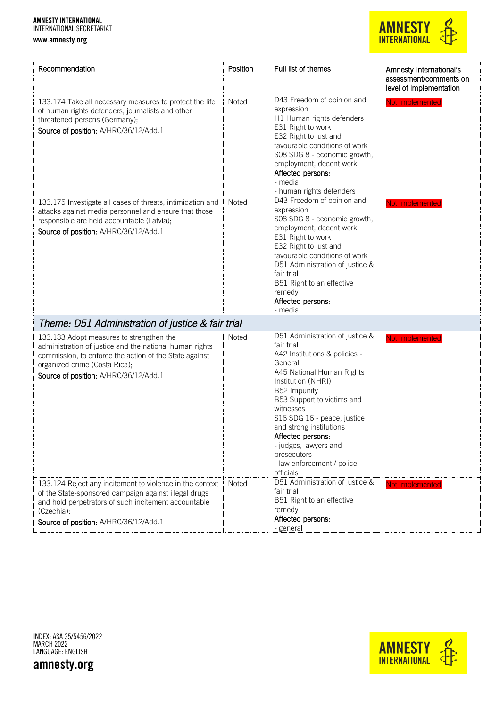

| Recommendation                                                                                                                                                                                                                          | Position     | Full list of themes                                                                                                                                                                                                                                                                                                                                                       | Amnesty International's<br>assessment/comments on<br>level of implementation |
|-----------------------------------------------------------------------------------------------------------------------------------------------------------------------------------------------------------------------------------------|--------------|---------------------------------------------------------------------------------------------------------------------------------------------------------------------------------------------------------------------------------------------------------------------------------------------------------------------------------------------------------------------------|------------------------------------------------------------------------------|
| 133.174 Take all necessary measures to protect the life<br>of human rights defenders, journalists and other<br>threatened persons (Germany);<br>Source of position: A/HRC/36/12/Add.1                                                   | Noted        | D43 Freedom of opinion and<br>expression<br>H1 Human rights defenders<br>E31 Right to work<br>E32 Right to just and<br>favourable conditions of work<br>SO8 SDG 8 - economic growth,<br>employment, decent work<br>Affected persons:<br>- media<br>- human rights defenders                                                                                               | Not implemented                                                              |
| 133.175 Investigate all cases of threats, intimidation and<br>attacks against media personnel and ensure that those<br>responsible are held accountable (Latvia);<br>Source of position: A/HRC/36/12/Add.1                              | <b>Noted</b> | D43 Freedom of opinion and<br>expression<br>SO8 SDG 8 - economic growth,<br>employment, decent work<br>E31 Right to work<br>E32 Right to just and<br>favourable conditions of work<br>D51 Administration of justice &<br>fair trial<br>B51 Right to an effective<br>remedy<br>Affected persons:<br>- media                                                                | Not implemented                                                              |
| Theme: D51 Administration of justice & fair trial                                                                                                                                                                                       |              |                                                                                                                                                                                                                                                                                                                                                                           |                                                                              |
| 133.133 Adopt measures to strengthen the<br>administration of justice and the national human rights<br>commission, to enforce the action of the State against<br>organized crime (Costa Rica);<br>Source of position: A/HRC/36/12/Add.1 | <b>Noted</b> | D51 Administration of justice &<br>fair trial<br>A42 Institutions & policies -<br>General<br>A45 National Human Rights<br>Institution (NHRI)<br>B52 Impunity<br>B53 Support to victims and<br>witnesses<br>S16 SDG 16 - peace, justice<br>and strong institutions<br>Affected persons:<br>- judges, lawyers and<br>prosecutors<br>- law enforcement / police<br>officials | Not implemented                                                              |
| 133.124 Reject any incitement to violence in the context<br>of the State-sponsored campaign against illegal drugs<br>and hold perpetrators of such incitement accountable<br>(Czechia);<br>Source of position: A/HRC/36/12/Add.1        | <b>Noted</b> | D51 Administration of justice &<br>fair trial<br>B51 Right to an effective<br>remedy<br>Affected persons:<br>- general                                                                                                                                                                                                                                                    | Not implemented                                                              |

INDEX: ASA 35/5456/2022 MARCH 2022 LANGUAGE: ENGLISH



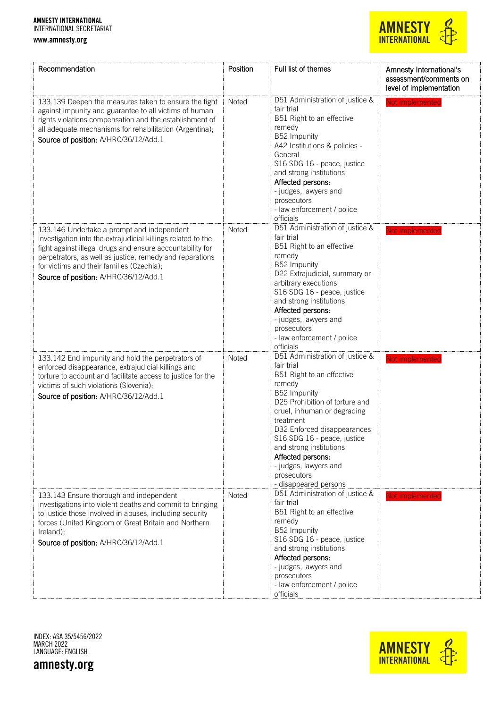

| Recommendation                                                                                                                                                                                                                                                                                                            | Position     | Full list of themes                                                                                                                                                                                                                                                                                                                                               | Amnesty International's<br>assessment/comments on<br>level of implementation |
|---------------------------------------------------------------------------------------------------------------------------------------------------------------------------------------------------------------------------------------------------------------------------------------------------------------------------|--------------|-------------------------------------------------------------------------------------------------------------------------------------------------------------------------------------------------------------------------------------------------------------------------------------------------------------------------------------------------------------------|------------------------------------------------------------------------------|
| 133.139 Deepen the measures taken to ensure the fight<br>against impunity and guarantee to all victims of human<br>rights violations compensation and the establishment of<br>all adequate mechanisms for rehabilitation (Argentina);<br>Source of position: A/HRC/36/12/Add.1                                            | Noted        | D51 Administration of justice &<br>fair trial<br>B51 Right to an effective<br>remedy<br>B52 Impunity<br>A42 Institutions & policies -<br>General<br>S16 SDG 16 - peace, justice<br>and strong institutions<br>Affected persons:<br>- judges, lawyers and<br>prosecutors<br>- law enforcement / police<br>officials                                                | Not implemented                                                              |
| 133.146 Undertake a prompt and independent<br>investigation into the extrajudicial killings related to the<br>fight against illegal drugs and ensure accountability for<br>perpetrators, as well as justice, remedy and reparations<br>for victims and their families (Czechia);<br>Source of position: A/HRC/36/12/Add.1 | <b>Noted</b> | D51 Administration of justice &<br>fair trial<br>B51 Right to an effective<br>remedy<br>B52 Impunity<br>D22 Extrajudicial, summary or<br>arbitrary executions<br>S16 SDG 16 - peace, justice<br>and strong institutions<br>Affected persons:<br>- judges, lawyers and<br>prosecutors<br>- law enforcement / police<br>officials                                   | Not implemented                                                              |
| 133.142 End impunity and hold the perpetrators of<br>enforced disappearance, extrajudicial killings and<br>torture to account and facilitate access to justice for the<br>victims of such violations (Slovenia);<br>Source of position: A/HRC/36/12/Add.1                                                                 | <b>Noted</b> | D51 Administration of justice &<br>fair trial<br>B51 Right to an effective<br>remedy<br>B52 Impunity<br>D25 Prohibition of torture and<br>cruel, inhuman or degrading<br>treatment<br>D32 Enforced disappearances<br>S16 SDG 16 - peace, justice<br>and strong institutions<br>Affected persons:<br>- judges, lawyers and<br>prosecutors<br>- disappeared persons | Not implemented                                                              |
| 133.143 Ensure thorough and independent<br>investigations into violent deaths and commit to bringing<br>to justice those involved in abuses, including security<br>forces (United Kingdom of Great Britain and Northern<br>Ireland);<br>Source of position: A/HRC/36/12/Add.1                                             | Noted        | D51 Administration of justice &<br>fair trial<br>B51 Right to an effective<br>remedy<br>B52 Impunity<br>S16 SDG 16 - peace, justice<br>and strong institutions<br>Affected persons:<br>- judges, lawyers and<br>prosecutors<br>- law enforcement / police<br>officials                                                                                            | Not implemented                                                              |

INDEX: ASA 35/5456/2022 MARCH 2022 LANGUAGE: ENGLISH



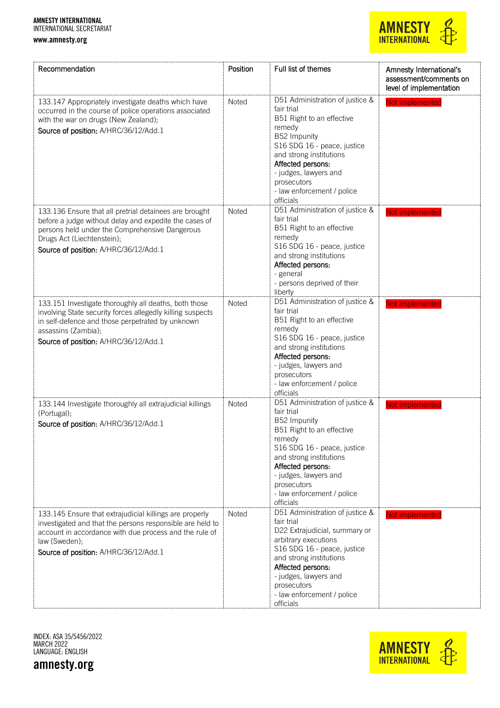#### www.amnesty.org



| Recommendation                                                                                                                                                                                                                            | Position | Full list of themes                                                                                                                                                                                                                                                      | Amnesty International's<br>assessment/comments on<br>level of implementation |
|-------------------------------------------------------------------------------------------------------------------------------------------------------------------------------------------------------------------------------------------|----------|--------------------------------------------------------------------------------------------------------------------------------------------------------------------------------------------------------------------------------------------------------------------------|------------------------------------------------------------------------------|
| 133.147 Appropriately investigate deaths which have<br>occurred in the course of police operations associated<br>with the war on drugs (New Zealand);<br>Source of position: A/HRC/36/12/Add.1                                            | Noted    | D51 Administration of justice &<br>fair trial<br>B51 Right to an effective<br>remedy<br>B52 Impunity<br>S16 SDG 16 - peace, justice<br>and strong institutions<br>Affected persons:<br>- judges, lawyers and<br>prosecutors<br>- law enforcement / police<br>officials   | Not implemented                                                              |
| 133.136 Ensure that all pretrial detainees are brought<br>before a judge without delay and expedite the cases of<br>persons held under the Comprehensive Dangerous<br>Drugs Act (Liechtenstein);<br>Source of position: A/HRC/36/12/Add.1 | Noted    | D51 Administration of justice &<br>fair trial<br>B51 Right to an effective<br>remedy<br>S16 SDG 16 - peace, justice<br>and strong institutions<br>Affected persons:<br>- general<br>- persons deprived of their<br>liberty                                               | Not implemented                                                              |
| 133.151 Investigate thoroughly all deaths, both those<br>involving State security forces allegedly killing suspects<br>in self-defence and those perpetrated by unknown<br>assassins (Zambia);<br>Source of position: A/HRC/36/12/Add.1   | Noted    | D51 Administration of justice &<br>fair trial<br>B51 Right to an effective<br>remedy<br>S16 SDG 16 - peace, justice<br>and strong institutions<br>Affected persons:<br>- judges, lawyers and<br>prosecutors<br>- law enforcement / police<br>officials                   | Not implemented                                                              |
| 133.144 Investigate thoroughly all extrajudicial killings<br>(Portugal);<br>Source of position: A/HRC/36/12/Add.1                                                                                                                         | Noted    | D51 Administration of justice &<br>fair trial<br>B52 Impunity<br>B51 Right to an effective<br>remedy<br>S16 SDG 16 - peace, justice<br>and strong institutions<br>Affected persons:<br>- judges, lawyers and<br>prosecutors<br>- law enforcement / police<br>officials   | Not implemented                                                              |
| 133.145 Ensure that extrajudicial killings are properly<br>investigated and that the persons responsible are held to<br>account in accordance with due process and the rule of<br>law (Sweden);<br>Source of position: A/HRC/36/12/Add.1  | Noted    | D51 Administration of justice &<br>fair trial<br>D22 Extrajudicial, summary or<br>arbitrary executions<br>S16 SDG 16 - peace, justice<br>and strong institutions<br>Affected persons:<br>- judges, lawyers and<br>prosecutors<br>- law enforcement / police<br>officials | Not implemented                                                              |

INDEX: ASA 35/5456/2022 MARCH 2022 LANGUAGE: ENGLISH

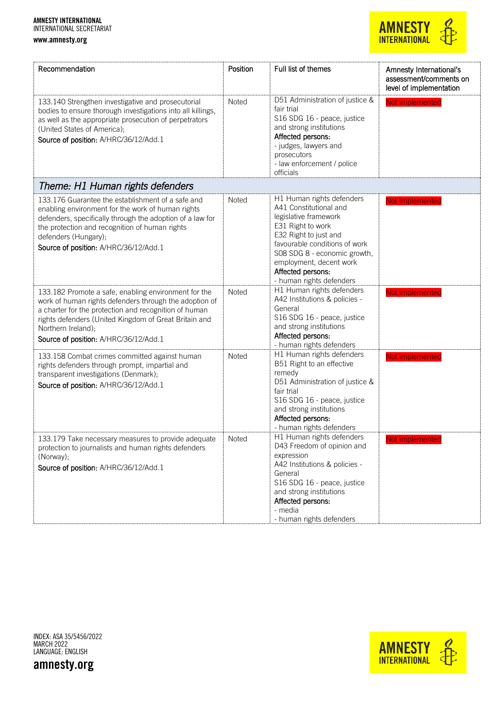

| Recommendation                                                                                                                                                                                                                                                                                  | Position | Full list of themes                                                                                                                                                                                                                                                     | Amnesty International's<br>assessment/comments on<br>level of implementation |
|-------------------------------------------------------------------------------------------------------------------------------------------------------------------------------------------------------------------------------------------------------------------------------------------------|----------|-------------------------------------------------------------------------------------------------------------------------------------------------------------------------------------------------------------------------------------------------------------------------|------------------------------------------------------------------------------|
| 133.140 Strengthen investigative and prosecutorial<br>bodies to ensure thorough investigations into all killings,<br>as well as the appropriate prosecution of perpetrators<br>(United States of America);<br>Source of position: A/HRC/36/12/Add.1                                             | Noted    | D51 Administration of justice &<br>fair trial<br>S16 SDG 16 - peace, justice<br>and strong institutions<br>Affected persons:<br>- judges, lawyers and<br>prosecutors<br>- law enforcement / police<br>officials                                                         | Not implemented                                                              |
| Theme: H1 Human rights defenders                                                                                                                                                                                                                                                                |          |                                                                                                                                                                                                                                                                         |                                                                              |
| 133.176 Guarantee the establishment of a safe and<br>enabling environment for the work of human rights<br>defenders, specifically through the adoption of a law for<br>the protection and recognition of human rights<br>defenders (Hungary);<br>Source of position: A/HRC/36/12/Add.1          | Noted    | H1 Human rights defenders<br>A41 Constitutional and<br>legislative framework<br>E31 Right to work<br>E32 Right to just and<br>favourable conditions of work<br>SO8 SDG 8 - economic growth,<br>employment, decent work<br>Affected persons:<br>- human rights defenders | Not implemented                                                              |
| 133.182 Promote a safe, enabling environment for the<br>work of human rights defenders through the adoption of<br>a charter for the protection and recognition of human<br>rights defenders (United Kingdom of Great Britain and<br>Northern Ireland);<br>Source of position: A/HRC/36/12/Add.1 | Noted    | H1 Human rights defenders<br>A42 Institutions & policies -<br>General<br>S16 SDG 16 - peace, justice<br>and strong institutions<br>Affected persons:<br>- human rights defenders                                                                                        | Not implemented                                                              |
| 133.158 Combat crimes committed against human<br>rights defenders through prompt, impartial and<br>transparent investigations (Denmark);<br>Source of position: A/HRC/36/12/Add.1                                                                                                               | Noted    | H1 Human rights defenders<br>B51 Right to an effective<br>remedy<br>D51 Administration of justice &<br>fair trial<br>S16 SDG 16 - peace, justice<br>and strong institutions<br>Affected persons:<br>- human rights defenders                                            | Not implemented                                                              |
| 133.179 Take necessary measures to provide adequate<br>protection to journalists and human rights defenders<br>(Norway);<br>Source of position: A/HRC/36/12/Add.1                                                                                                                               | Noted    | H1 Human rights defenders<br>D43 Freedom of opinion and<br>expression<br>A42 Institutions & policies -<br>General<br>S16 SDG 16 - peace, justice<br>and strong institutions<br>Affected persons:<br>- media<br>- human rights defenders                                 | Not implemente                                                               |

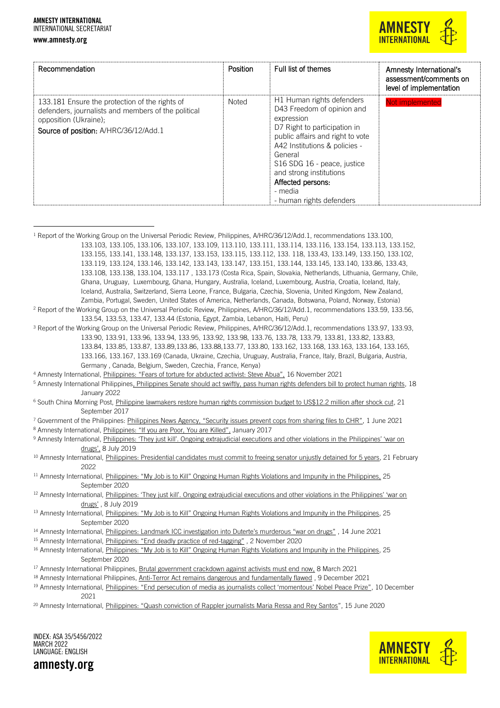#### www.amnesty.org



| Recommendation                                                                                                                                                          | Position     | Full list of themes                                                                                                                                                                                                                                                                                         | Amnesty International's<br>assessment/comments on<br>level of implementation |
|-------------------------------------------------------------------------------------------------------------------------------------------------------------------------|--------------|-------------------------------------------------------------------------------------------------------------------------------------------------------------------------------------------------------------------------------------------------------------------------------------------------------------|------------------------------------------------------------------------------|
| 133.181 Ensure the protection of the rights of<br>defenders, journalists and members of the political<br>opposition (Ukraine);<br>Source of position: A/HRC/36/12/Add.1 | <b>Noted</b> | H1 Human rights defenders<br>D43 Freedom of opinion and<br>expression<br>D7 Right to participation in<br>public affairs and right to vote<br>A42 Institutions & policies -<br>General<br>S16 SDG 16 - peace, justice<br>and strong institutions<br>Affected persons:<br>- media<br>- human rights defenders | Not implemented                                                              |

<sup>1</sup> Report of the Working Group on the Universal Periodic Review, Philippines, A/HRC/36/12/Add.1, recommendations 133.100, 133.103, 133.105, 133.106, 133.107, 133.109, 113.110, 133.111, 133.114, 133.116, 133.154, 133.113, 133.152, 133.155, 133.141, 133.148, 133.137, 133.153, 133.115, 133.112, 133. 118, 133.43, 133.149, 133.150, 133.102, 133.119, 133.124, 133.146, 133.142, 133.143, 133.147, 133.151, 133.144, 133.145, 133.140, 133.86, 133.43, 133.108, 133.138, 133.104, 133.117 , 133.173 (Costa Rica, Spain, Slovakia, Netherlands, Lithuania, Germany, Chile, Ghana, Uruguay, Luxembourg, Ghana, Hungary, Australia, Iceland, Luxembourg, Austria, Croatia, Iceland, Italy, Iceland, Australia, Switzerland, Sierra Leone, France, Bulgaria, Czechia, Slovenia, United Kingdom, New Zealand, Zambia, Portugal, Sweden, United States of America, Netherlands, Canada, Botswana, Poland, Norway, Estonia) <sup>2</sup> Report of the Working Group on the Universal Periodic Review, Philippines, A/HRC/36/12/Add.1, recommendations 133.59, 133.56, 133.54, 133.53, 133.47, 133.44 (Estonia, Egypt, Zambia, Lebanon, Haiti, Peru) <sup>3</sup> Report of the Working Group on the Universal Periodic Review, Philippines, A/HRC/36/12/Add.1, recommendations 133.97, 133.93, 133.90, 133.91, 133.96, 133.94, 133.95, 133.92, 133.98, 133.76, 133.78, 133.79, 133.81, 133.82, 133.83, 133.84, 133.85, 133.87, 133.89,133.86, 133.88,133.77, 133.80, 133.162, 133.168, 133.163, 133.164, 133.165, 133.166, 133.167, 133.169 (Canada, Ukraine, Czechia, Uruguay, Australia, France, Italy, Brazil, Bulgaria, Austria, Germany , Canada, Belgium, Sweden, Czechia, France, Kenya) <sup>4</sup> Amnesty International, *Philippines: "Fears of torture for abducted activist: Steve Abua"*, 16 November 2021 <sup>5</sup> Amnesty International Philippine[s, Philippines Senate should act swiftly, pass human rights defenders bill to protect human rights,](https://www.amnesty.org.ph/2022/01/ph-senate-should-act-swiftly-pass-hrdp-bill-to-protect-human-rights/) 18 January 2022 <sup>6</sup> South China Morning Post[, Philippine lawmakers restore human rights commission budget to US\\$12.2 million after shock cut,](https://www.scmp.com/news/asia/southeast-asia/article/2112213/philippine-lawmakers-restore-human-rights-commission-budget) 21 September 2017 <sup>7</sup> Government of the Philippines: [Philippines News Agency, "Security issues prevent cops from sharing files to CHR"](https://www.pna.gov.ph/articles/1142138), 1 June 2021 8 Amnesty International, Philippines: ["If you are Poor, You are Killed",](file:///C:/Users/rachel.chhoahoward/AppData/Local/Microsoft/Windows/INetCache/Content.Outlook/MKSCDLXZ/) January 2017 9 Amnesty International, Philippines: 'They just kill'. Ongoing extrajudicial executions and other violations in the Philippines' 'war on [drugs',](https://www.amnesty.org/en/documents/asa35/0578/2019/en/) 8 July 2019 <sup>10</sup> Amnesty International[, Philippines: Presidential candidates must commit to freeing senator unjustly detained for 5 years,](https://www.amnesty.org/en/latest/news/2022/02/philippines-detained-senator-de-lima/) 21 February 2022 <sup>11</sup> Amnesty International, [Philippines: "My Job is to Kill" Ongoing Human Rights Violations and Impunity in the Philippines,](https://www.amnesty.org/en/documents/asa35/3085/2020/en/) 25 September 2020 <sup>12</sup> Amnesty International, Philippines: 'They just kill'. Ongoing extrajudicial executions and other violations in the Philippines' 'war on [drugs'](https://www.amnesty.org/en/documents/asa35/0578/2019/en/) , 8 July 2019 13 Amnesty International, Philippines: "My Job is to Kill" Ongoing Hum[an Rights Violations and Impunity in the Philippines,](https://www.amnesty.org/en/documents/asa35/3085/2020/en/) 25 September 2020 <sup>14</sup> Amnesty International, Philippines: Landma[rk ICC investigation into Duterte's murderous "war on drugs"](https://www.amnesty.org/en/latest/news/2021/06/philippines-landmark-icc-investigation-into-duterte-murderous-war-on-drugs/) , 14 June 2021 <sup>15</sup> Amnesty International, *[Philippines: "End deadly practice of red](https://www.amnesty.org/en/documents/asa35/3293/2020/en/)-tagging"*, 2 November 2020 16 Amnesty International, [Philippines: "My Job is to Kill" Ongoing Human Rights Violations and Impunity in the Philippines](https://www.amnesty.org/en/documents/asa35/3085/2020/en/), 25 September 2020 <sup>17</sup> Amnesty International Philippines[, Brutal government crackdown against activists must end now,](https://www.amnesty.org.ph/2021/03/brutal-government-crackdown-against-activists-must-end-now/) 8 March 2021 <sup>18</sup> Amnesty International Philippines[, Anti-Terror Act remains dangerous and fundamentally flawed](https://www.amnesty.org.ph/2021/12/anti-terror-act-remains-dangerous-and-fundamentally-flawed/) , 9 December 2021 19 Amnesty International, Philippines: ["End persecution of media as journalists collect 'momentous' Nobel Peace Prize"](https://www.amnesty.org/en/latest/news/2021/12/end-persecution-of-media-as-journalists-collect-momentous-nobel-peace-prize/), 10 December 2021 <sup>20</sup> Amnesty International, Philippines: "[Quash conviction of Rappler journalists Maria Ressa and Rey Santos](https://www.amnesty.org/en/latest/news/2020/06/philippines-quash-conviction-of-rappler-ressa-santos/)", 15 June 2020

INDEX: ASA 35/5456/2022 MARCH 2022 LANGUAGE: ENGLISH